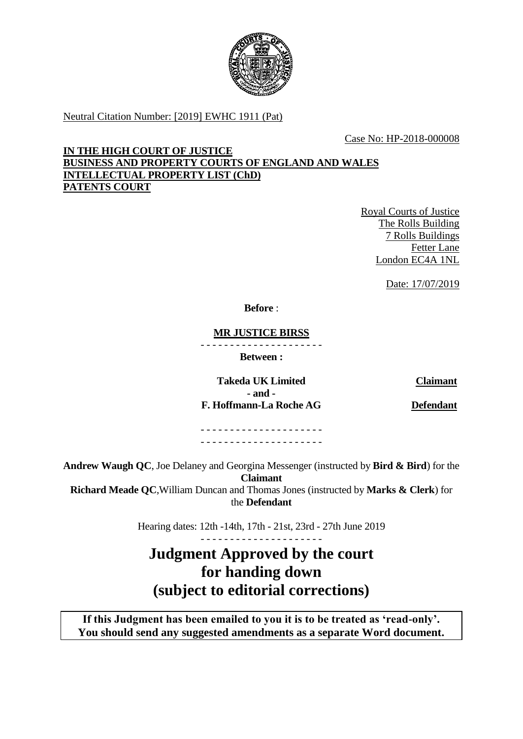

Neutral Citation Number: [2019] EWHC 1911 (Pat)

Case No: HP-2018-000008

# **IN THE HIGH COURT OF JUSTICE BUSINESS AND PROPERTY COURTS OF ENGLAND AND WALES INTELLECTUAL PROPERTY LIST (ChD) PATENTS COURT**

Royal Courts of Justice The Rolls Building 7 Rolls Buildings Fetter Lane London EC4A 1NL

Date: 17/07/2019

**Before** :

**MR JUSTICE BIRSS**

- - - - - - - - - - - - - - - - - - - - - **Between :**

**Takeda UK Limited Claimant - and - F. Hoffmann-La Roche AG Defendant**

- - - - - - - - - - - - - - - - - - - - - - - - - - - - - - - - - - - - - - - - - -

**Andrew Waugh QC**, Joe Delaney and Georgina Messenger (instructed by **Bird & Bird**) for the **Claimant Richard Meade QC**,William Duncan and Thomas Jones (instructed by **Marks & Clerk**) for

the **Defendant**

Hearing dates: 12th -14th, 17th - 21st, 23rd - 27th June 2019 - - - - - - - - - - - - - - - - - - - - -

# **Judgment Approved by the court for handing down (subject to editorial corrections)**

**If this Judgment has been emailed to you it is to be treated as 'read-only'. You should send any suggested amendments as a separate Word document.**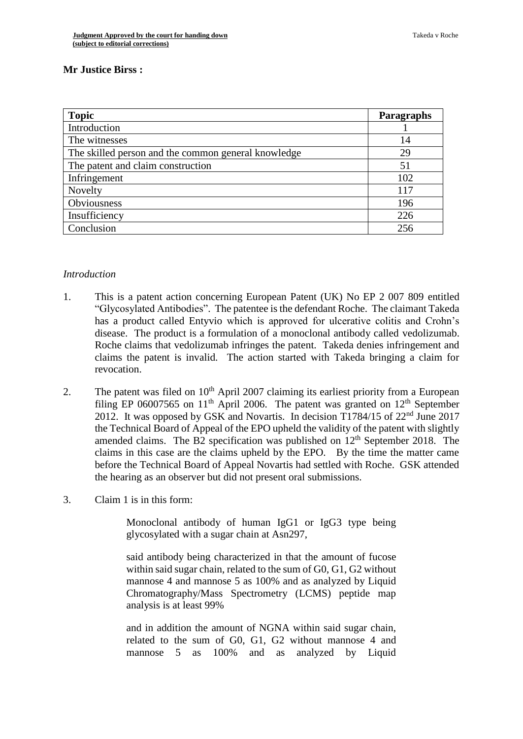#### **Mr Justice Birss :**

| <b>Topic</b>                                        | Paragraphs |
|-----------------------------------------------------|------------|
| Introduction                                        |            |
| The witnesses                                       | 14         |
| The skilled person and the common general knowledge | 29         |
| The patent and claim construction                   | 51         |
| Infringement                                        | 102        |
| Novelty                                             | 117        |
| Obviousness                                         | 196        |
| Insufficiency                                       | 226        |
| Conclusion                                          | 256        |

#### *Introduction*

- 1. This is a patent action concerning European Patent (UK) No EP 2 007 809 entitled "Glycosylated Antibodies". The patentee is the defendant Roche. The claimant Takeda has a product called Entyvio which is approved for ulcerative colitis and Crohn's disease. The product is a formulation of a monoclonal antibody called vedolizumab. Roche claims that vedolizumab infringes the patent. Takeda denies infringement and claims the patent is invalid. The action started with Takeda bringing a claim for revocation.
- 2. The patent was filed on  $10<sup>th</sup>$  April 2007 claiming its earliest priority from a European filing EP 06007565 on  $11<sup>th</sup>$  April 2006. The patent was granted on  $12<sup>th</sup>$  September 2012. It was opposed by GSK and Novartis. In decision T1784/15 of 22nd June 2017 the Technical Board of Appeal of the EPO upheld the validity of the patent with slightly amended claims. The B2 specification was published on  $12<sup>th</sup>$  September 2018. The claims in this case are the claims upheld by the EPO. By the time the matter came before the Technical Board of Appeal Novartis had settled with Roche. GSK attended the hearing as an observer but did not present oral submissions.
- 3. Claim 1 is in this form:

Monoclonal antibody of human IgG1 or IgG3 type being glycosylated with a sugar chain at Asn297,

said antibody being characterized in that the amount of fucose within said sugar chain, related to the sum of G0, G1, G2 without mannose 4 and mannose 5 as 100% and as analyzed by Liquid Chromatography/Mass Spectrometry (LCMS) peptide map analysis is at least 99%

and in addition the amount of NGNA within said sugar chain, related to the sum of G0, G1, G2 without mannose 4 and mannose 5 as 100% and as analyzed by Liquid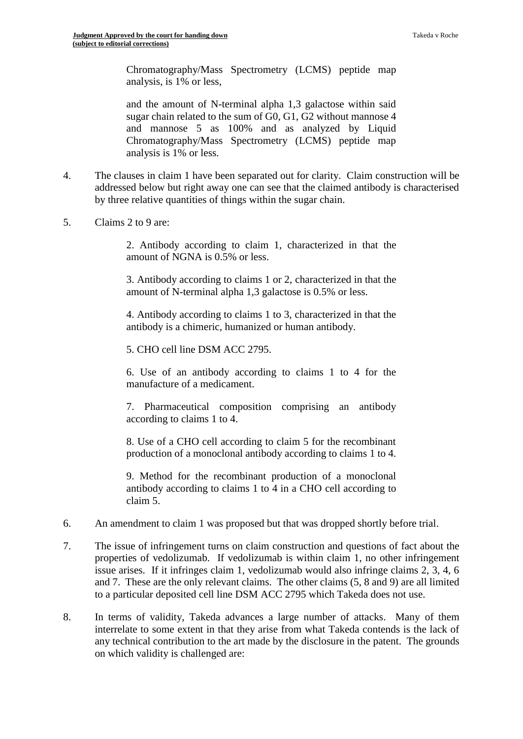Chromatography/Mass Spectrometry (LCMS) peptide map analysis, is 1% or less,

and the amount of N-terminal alpha 1,3 galactose within said sugar chain related to the sum of G0, G1, G2 without mannose 4 and mannose 5 as 100% and as analyzed by Liquid Chromatography/Mass Spectrometry (LCMS) peptide map analysis is 1% or less.

- 4. The clauses in claim 1 have been separated out for clarity. Claim construction will be addressed below but right away one can see that the claimed antibody is characterised by three relative quantities of things within the sugar chain.
- 5. Claims 2 to 9 are:

2. Antibody according to claim 1, characterized in that the amount of NGNA is 0.5% or less.

3. Antibody according to claims 1 or 2, characterized in that the amount of N-terminal alpha 1,3 galactose is 0.5% or less.

4. Antibody according to claims 1 to 3, characterized in that the antibody is a chimeric, humanized or human antibody.

5. CHO cell line DSM ACC 2795.

6. Use of an antibody according to claims 1 to 4 for the manufacture of a medicament.

7. Pharmaceutical composition comprising an antibody according to claims 1 to 4.

8. Use of a CHO cell according to claim 5 for the recombinant production of a monoclonal antibody according to claims 1 to 4.

9. Method for the recombinant production of a monoclonal antibody according to claims 1 to 4 in a CHO cell according to claim 5.

- 6. An amendment to claim 1 was proposed but that was dropped shortly before trial.
- 7. The issue of infringement turns on claim construction and questions of fact about the properties of vedolizumab. If vedolizumab is within claim 1, no other infringement issue arises. If it infringes claim 1, vedolizumab would also infringe claims 2, 3, 4, 6 and 7. These are the only relevant claims. The other claims (5, 8 and 9) are all limited to a particular deposited cell line DSM ACC 2795 which Takeda does not use.
- 8. In terms of validity, Takeda advances a large number of attacks. Many of them interrelate to some extent in that they arise from what Takeda contends is the lack of any technical contribution to the art made by the disclosure in the patent. The grounds on which validity is challenged are: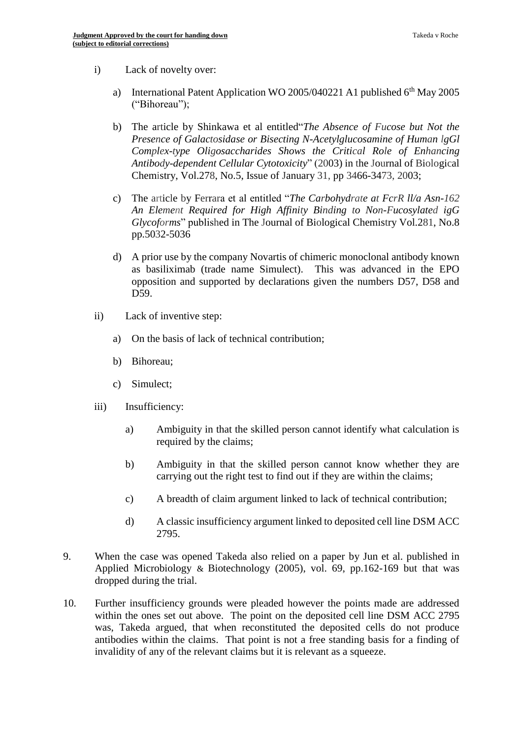- i) Lack of novelty over:
	- a) International Patent Application WO 2005/040221 A1 published 6<sup>th</sup> May 2005 ("Bihoreau");
	- b) The article by Shinkawa et al entitled"*The Absence of Fucose but Not the Presence of Galactosidase or Bisecting N-Acetylglucosamine of Human lgGl Complex-type Oligosaccharides Shows the Critical Role of Enhancing Antibody-dependent Cellular Cytotoxicity*" (2003) in the Journal of Biological Chemistry, Vol.278, No.5, Issue of January 31, pp 3466-3473, 2003;
	- c) The article by Ferrara et al entitled "*The Carbohydrate at FcrR ll/a Asn-162 An Element Required for High Affinity Binding to Non-Fucosylated igG Glycoforms*" published in The Journal of Biological Chemistry Vol.281, No.8 pp.5032-5036
	- d) A prior use by the company Novartis of chimeric monoclonal antibody known as basiliximab (trade name Simulect). This was advanced in the EPO opposition and supported by declarations given the numbers D57, D58 and D<sub>59</sub>.
- ii) Lack of inventive step:
	- a) On the basis of lack of technical contribution;
	- b) Bihoreau;
	- c) Simulect;
- iii) Insufficiency:
	- a) Ambiguity in that the skilled person cannot identify what calculation is required by the claims;
	- b) Ambiguity in that the skilled person cannot know whether they are carrying out the right test to find out if they are within the claims;
	- c) A breadth of claim argument linked to lack of technical contribution;
	- d) A classic insufficiency argument linked to deposited cell line DSM ACC 2795.
- 9. When the case was opened Takeda also relied on a paper by Jun et al. published in Applied Microbiology & Biotechnology (2005), vol. 69, pp.162-169 but that was dropped during the trial.
- 10. Further insufficiency grounds were pleaded however the points made are addressed within the ones set out above. The point on the deposited cell line DSM ACC 2795 was, Takeda argued, that when reconstituted the deposited cells do not produce antibodies within the claims. That point is not a free standing basis for a finding of invalidity of any of the relevant claims but it is relevant as a squeeze.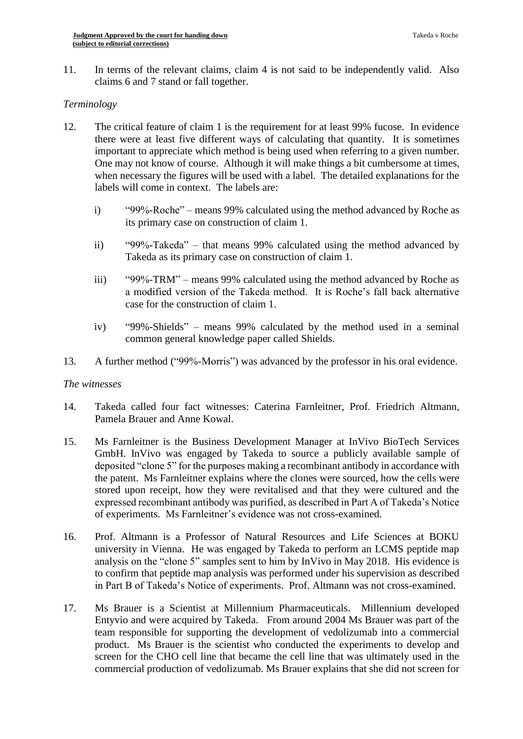11. In terms of the relevant claims, claim 4 is not said to be independently valid. Also claims 6 and 7 stand or fall together.

#### *Terminology*

- 12. The critical feature of claim 1 is the requirement for at least 99% fucose. In evidence there were at least five different ways of calculating that quantity. It is sometimes important to appreciate which method is being used when referring to a given number. One may not know of course. Although it will make things a bit cumbersome at times, when necessary the figures will be used with a label. The detailed explanations for the labels will come in context. The labels are:
	- i) "99%-Roche" means 99% calculated using the method advanced by Roche as its primary case on construction of claim 1.
	- ii) "99%-Takeda" that means 99% calculated using the method advanced by Takeda as its primary case on construction of claim 1.
	- iii) "99%-TRM" means 99% calculated using the method advanced by Roche as a modified version of the Takeda method. It is Roche's fall back alternative case for the construction of claim 1.
	- iv) "99%-Shields" means 99% calculated by the method used in a seminal common general knowledge paper called Shields.
- 13. A further method ("99%-Morris") was advanced by the professor in his oral evidence.

#### *The witnesses*

- 14. Takeda called four fact witnesses: Caterina Farnleitner, Prof. Friedrich Altmann, Pamela Brauer and Anne Kowal.
- 15. Ms Farnleitner is the Business Development Manager at InVivo BioTech Services GmbH. InVivo was engaged by Takeda to source a publicly available sample of deposited "clone 5" for the purposes making a recombinant antibody in accordance with the patent. Ms Farnleitner explains where the clones were sourced, how the cells were stored upon receipt, how they were revitalised and that they were cultured and the expressed recombinant antibody was purified, as described in Part A of Takeda's Notice of experiments. Ms Farnleitner's evidence was not cross-examined.
- 16. Prof. Altmann is a Professor of Natural Resources and Life Sciences at BOKU university in Vienna. He was engaged by Takeda to perform an LCMS peptide map analysis on the "clone 5" samples sent to him by InVivo in May 2018. His evidence is to confirm that peptide map analysis was performed under his supervision as described in Part B of Takeda's Notice of experiments. Prof. Altmann was not cross-examined.
- 17. Ms Brauer is a Scientist at Millennium Pharmaceuticals. Millennium developed Entyvio and were acquired by Takeda. From around 2004 Ms Brauer was part of the team responsible for supporting the development of vedolizumab into a commercial product. Ms Brauer is the scientist who conducted the experiments to develop and screen for the CHO cell line that became the cell line that was ultimately used in the commercial production of vedolizumab. Ms Brauer explains that she did not screen for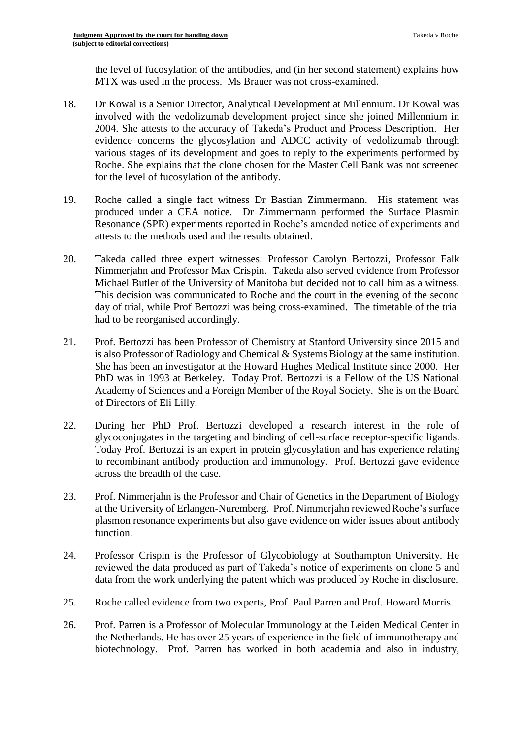the level of fucosylation of the antibodies, and (in her second statement) explains how MTX was used in the process. Ms Brauer was not cross-examined.

- 18. Dr Kowal is a Senior Director, Analytical Development at Millennium. Dr Kowal was involved with the vedolizumab development project since she joined Millennium in 2004. She attests to the accuracy of Takeda's Product and Process Description. Her evidence concerns the glycosylation and ADCC activity of vedolizumab through various stages of its development and goes to reply to the experiments performed by Roche. She explains that the clone chosen for the Master Cell Bank was not screened for the level of fucosylation of the antibody.
- 19. Roche called a single fact witness Dr Bastian Zimmermann. His statement was produced under a CEA notice. Dr Zimmermann performed the Surface Plasmin Resonance (SPR) experiments reported in Roche's amended notice of experiments and attests to the methods used and the results obtained.
- 20. Takeda called three expert witnesses: Professor Carolyn Bertozzi, Professor Falk Nimmerjahn and Professor Max Crispin. Takeda also served evidence from Professor Michael Butler of the University of Manitoba but decided not to call him as a witness. This decision was communicated to Roche and the court in the evening of the second day of trial, while Prof Bertozzi was being cross-examined. The timetable of the trial had to be reorganised accordingly.
- 21. Prof. Bertozzi has been Professor of Chemistry at Stanford University since 2015 and is also Professor of Radiology and Chemical & Systems Biology at the same institution. She has been an investigator at the Howard Hughes Medical Institute since 2000. Her PhD was in 1993 at Berkeley. Today Prof. Bertozzi is a Fellow of the US National Academy of Sciences and a Foreign Member of the Royal Society. She is on the Board of Directors of Eli Lilly.
- 22. During her PhD Prof. Bertozzi developed a research interest in the role of glycoconjugates in the targeting and binding of cell-surface receptor-specific ligands. Today Prof. Bertozzi is an expert in protein glycosylation and has experience relating to recombinant antibody production and immunology. Prof. Bertozzi gave evidence across the breadth of the case.
- 23. Prof. Nimmerjahn is the Professor and Chair of Genetics in the Department of Biology at the University of Erlangen-Nuremberg. Prof. Nimmerjahn reviewed Roche's surface plasmon resonance experiments but also gave evidence on wider issues about antibody function.
- 24. Professor Crispin is the Professor of Glycobiology at Southampton University. He reviewed the data produced as part of Takeda's notice of experiments on clone 5 and data from the work underlying the patent which was produced by Roche in disclosure.
- 25. Roche called evidence from two experts, Prof. Paul Parren and Prof. Howard Morris.
- 26. Prof. Parren is a Professor of Molecular Immunology at the Leiden Medical Center in the Netherlands. He has over 25 years of experience in the field of immunotherapy and biotechnology. Prof. Parren has worked in both academia and also in industry,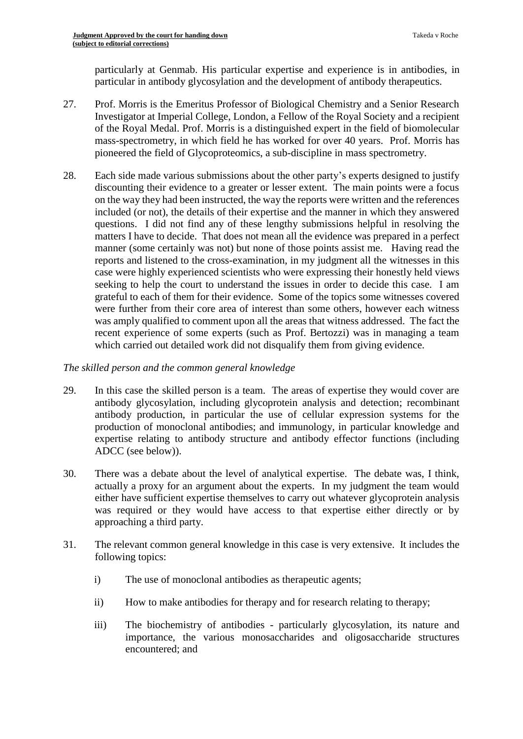particularly at Genmab. His particular expertise and experience is in antibodies, in particular in antibody glycosylation and the development of antibody therapeutics.

- 27. Prof. Morris is the Emeritus Professor of Biological Chemistry and a Senior Research Investigator at Imperial College, London, a Fellow of the Royal Society and a recipient of the Royal Medal. Prof. Morris is a distinguished expert in the field of biomolecular mass-spectrometry, in which field he has worked for over 40 years. Prof. Morris has pioneered the field of Glycoproteomics, a sub-discipline in mass spectrometry.
- 28. Each side made various submissions about the other party's experts designed to justify discounting their evidence to a greater or lesser extent. The main points were a focus on the way they had been instructed, the way the reports were written and the references included (or not), the details of their expertise and the manner in which they answered questions. I did not find any of these lengthy submissions helpful in resolving the matters I have to decide. That does not mean all the evidence was prepared in a perfect manner (some certainly was not) but none of those points assist me. Having read the reports and listened to the cross-examination, in my judgment all the witnesses in this case were highly experienced scientists who were expressing their honestly held views seeking to help the court to understand the issues in order to decide this case. I am grateful to each of them for their evidence. Some of the topics some witnesses covered were further from their core area of interest than some others, however each witness was amply qualified to comment upon all the areas that witness addressed. The fact the recent experience of some experts (such as Prof. Bertozzi) was in managing a team which carried out detailed work did not disqualify them from giving evidence.

# *The skilled person and the common general knowledge*

- 29. In this case the skilled person is a team. The areas of expertise they would cover are antibody glycosylation, including glycoprotein analysis and detection; recombinant antibody production, in particular the use of cellular expression systems for the production of monoclonal antibodies; and immunology, in particular knowledge and expertise relating to antibody structure and antibody effector functions (including ADCC (see below)).
- 30. There was a debate about the level of analytical expertise. The debate was, I think, actually a proxy for an argument about the experts. In my judgment the team would either have sufficient expertise themselves to carry out whatever glycoprotein analysis was required or they would have access to that expertise either directly or by approaching a third party.
- 31. The relevant common general knowledge in this case is very extensive. It includes the following topics:
	- i) The use of monoclonal antibodies as therapeutic agents;
	- ii) How to make antibodies for therapy and for research relating to therapy;
	- iii) The biochemistry of antibodies particularly glycosylation, its nature and importance, the various monosaccharides and oligosaccharide structures encountered; and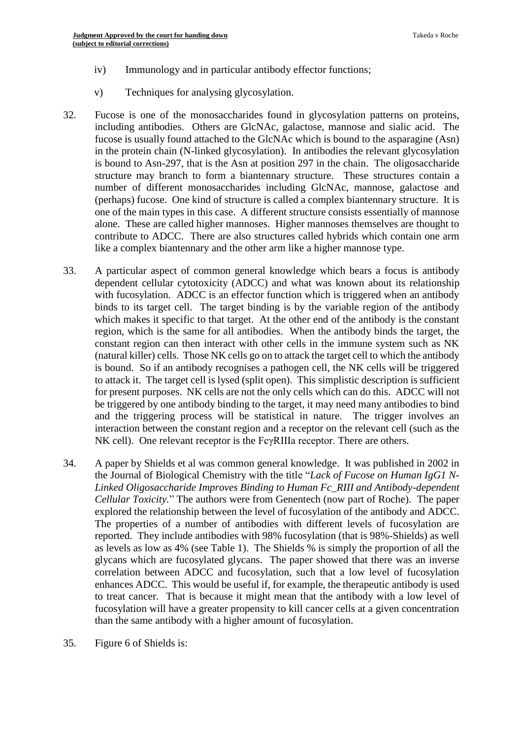- iv) Immunology and in particular antibody effector functions;
- v) Techniques for analysing glycosylation.
- 32. Fucose is one of the monosaccharides found in glycosylation patterns on proteins, including antibodies. Others are GlcNAc, galactose, mannose and sialic acid. The fucose is usually found attached to the GlcNAc which is bound to the asparagine (Asn) in the protein chain (N-linked glycosylation). In antibodies the relevant glycosylation is bound to Asn-297, that is the Asn at position 297 in the chain. The oligosaccharide structure may branch to form a biantennary structure. These structures contain a number of different monosaccharides including GlcNAc, mannose, galactose and (perhaps) fucose. One kind of structure is called a complex biantennary structure. It is one of the main types in this case. A different structure consists essentially of mannose alone. These are called higher mannoses. Higher mannoses themselves are thought to contribute to ADCC. There are also structures called hybrids which contain one arm like a complex biantennary and the other arm like a higher mannose type.
- 33. A particular aspect of common general knowledge which bears a focus is antibody dependent cellular cytotoxicity (ADCC) and what was known about its relationship with fucosylation. ADCC is an effector function which is triggered when an antibody binds to its target cell. The target binding is by the variable region of the antibody which makes it specific to that target. At the other end of the antibody is the constant region, which is the same for all antibodies. When the antibody binds the target, the constant region can then interact with other cells in the immune system such as NK (natural killer) cells. Those NK cells go on to attack the target cell to which the antibody is bound. So if an antibody recognises a pathogen cell, the NK cells will be triggered to attack it. The target cell is lysed (split open). This simplistic description is sufficient for present purposes. NK cells are not the only cells which can do this. ADCC will not be triggered by one antibody binding to the target, it may need many antibodies to bind and the triggering process will be statistical in nature. The trigger involves an interaction between the constant region and a receptor on the relevant cell (such as the NK cell). One relevant receptor is the FcγRIIIa receptor. There are others.
- 34. A paper by Shields et al was common general knowledge. It was published in 2002 in the Journal of Biological Chemistry with the title "*Lack of Fucose on Human IgG1 N-Linked Oligosaccharide Improves Binding to Human Fc\_RIII and Antibody-dependent Cellular Toxicity.*" The authors were from Genentech (now part of Roche). The paper explored the relationship between the level of fucosylation of the antibody and ADCC. The properties of a number of antibodies with different levels of fucosylation are reported. They include antibodies with 98% fucosylation (that is 98%-Shields) as well as levels as low as 4% (see Table 1). The Shields % is simply the proportion of all the glycans which are fucosylated glycans. The paper showed that there was an inverse correlation between ADCC and fucosylation, such that a low level of fucosylation enhances ADCC. This would be useful if, for example, the therapeutic antibody is used to treat cancer. That is because it might mean that the antibody with a low level of fucosylation will have a greater propensity to kill cancer cells at a given concentration than the same antibody with a higher amount of fucosylation.
- 35. Figure 6 of Shields is: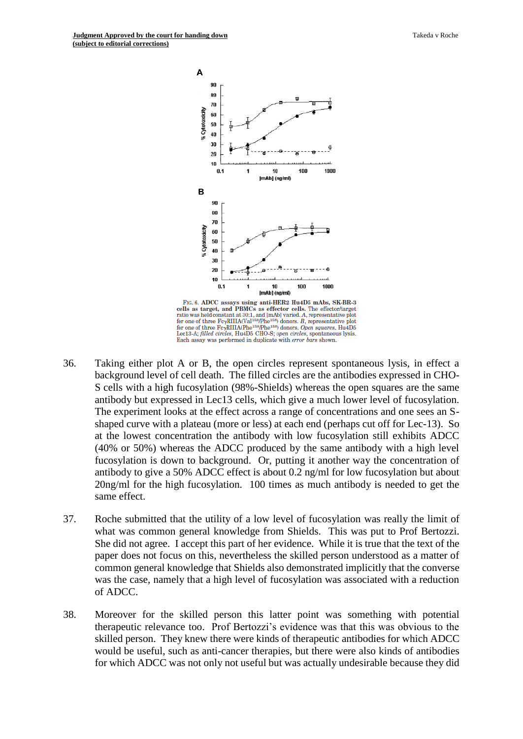

FIG. 6. ADCC assays using anti-HER2 Hu4D5 mAbs, SK-BR-3 cells as target, and PBMCs as effector cells. The effector/target case as earlier, and T*L-News as encewate encycle and mAb* variety. The encewave area of three FcyRIIIA(Val<sup>158</sup>/Phe<sup>158</sup>) donors. B, representative plot for one of three FcyRIIIA(Val<sup>158</sup>/Phe<sup>158</sup>) donors. B, representat Lec13-A: *filled circles*, Hu4D5 CHO-S: *open circles*, spontaneous lysis. Each assay was performed in duplicate with error bars shown.

- 36. Taking either plot A or B, the open circles represent spontaneous lysis, in effect a background level of cell death. The filled circles are the antibodies expressed in CHO-S cells with a high fucosylation (98%-Shields) whereas the open squares are the same antibody but expressed in Lec13 cells, which give a much lower level of fucosylation. The experiment looks at the effect across a range of concentrations and one sees an Sshaped curve with a plateau (more or less) at each end (perhaps cut off for Lec-13). So at the lowest concentration the antibody with low fucosylation still exhibits ADCC (40% or 50%) whereas the ADCC produced by the same antibody with a high level fucosylation is down to background. Or, putting it another way the concentration of antibody to give a 50% ADCC effect is about 0.2 ng/ml for low fucosylation but about 20ng/ml for the high fucosylation. 100 times as much antibody is needed to get the same effect.
- 37. Roche submitted that the utility of a low level of fucosylation was really the limit of what was common general knowledge from Shields. This was put to Prof Bertozzi. She did not agree. I accept this part of her evidence. While it is true that the text of the paper does not focus on this, nevertheless the skilled person understood as a matter of common general knowledge that Shields also demonstrated implicitly that the converse was the case, namely that a high level of fucosylation was associated with a reduction of ADCC.
- 38. Moreover for the skilled person this latter point was something with potential therapeutic relevance too. Prof Bertozzi's evidence was that this was obvious to the skilled person. They knew there were kinds of therapeutic antibodies for which ADCC would be useful, such as anti-cancer therapies, but there were also kinds of antibodies for which ADCC was not only not useful but was actually undesirable because they did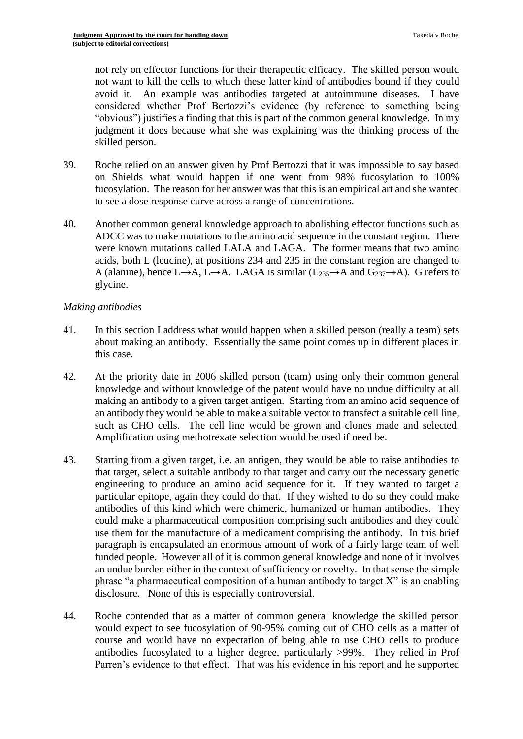not rely on effector functions for their therapeutic efficacy. The skilled person would not want to kill the cells to which these latter kind of antibodies bound if they could avoid it. An example was antibodies targeted at autoimmune diseases. I have considered whether Prof Bertozzi's evidence (by reference to something being "obvious") justifies a finding that this is part of the common general knowledge. In my judgment it does because what she was explaining was the thinking process of the skilled person.

- 39. Roche relied on an answer given by Prof Bertozzi that it was impossible to say based on Shields what would happen if one went from 98% fucosylation to 100% fucosylation. The reason for her answer was that this is an empirical art and she wanted to see a dose response curve across a range of concentrations.
- 40. Another common general knowledge approach to abolishing effector functions such as ADCC was to make mutations to the amino acid sequence in the constant region. There were known mutations called LALA and LAGA. The former means that two amino acids, both L (leucine), at positions 234 and 235 in the constant region are changed to A (alanine), hence L→A, L→A. LAGA is similar ( $L_{235} \rightarrow A$  and  $G_{237} \rightarrow A$ ). G refers to glycine.

# *Making antibodies*

- 41. In this section I address what would happen when a skilled person (really a team) sets about making an antibody. Essentially the same point comes up in different places in this case.
- 42. At the priority date in 2006 skilled person (team) using only their common general knowledge and without knowledge of the patent would have no undue difficulty at all making an antibody to a given target antigen. Starting from an amino acid sequence of an antibody they would be able to make a suitable vector to transfect a suitable cell line, such as CHO cells. The cell line would be grown and clones made and selected. Amplification using methotrexate selection would be used if need be.
- 43. Starting from a given target, i.e. an antigen, they would be able to raise antibodies to that target, select a suitable antibody to that target and carry out the necessary genetic engineering to produce an amino acid sequence for it. If they wanted to target a particular epitope, again they could do that. If they wished to do so they could make antibodies of this kind which were chimeric, humanized or human antibodies. They could make a pharmaceutical composition comprising such antibodies and they could use them for the manufacture of a medicament comprising the antibody. In this brief paragraph is encapsulated an enormous amount of work of a fairly large team of well funded people. However all of it is common general knowledge and none of it involves an undue burden either in the context of sufficiency or novelty. In that sense the simple phrase "a pharmaceutical composition of a human antibody to target X" is an enabling disclosure. None of this is especially controversial.
- 44. Roche contended that as a matter of common general knowledge the skilled person would expect to see fucosylation of 90-95% coming out of CHO cells as a matter of course and would have no expectation of being able to use CHO cells to produce antibodies fucosylated to a higher degree, particularly >99%. They relied in Prof Parren's evidence to that effect. That was his evidence in his report and he supported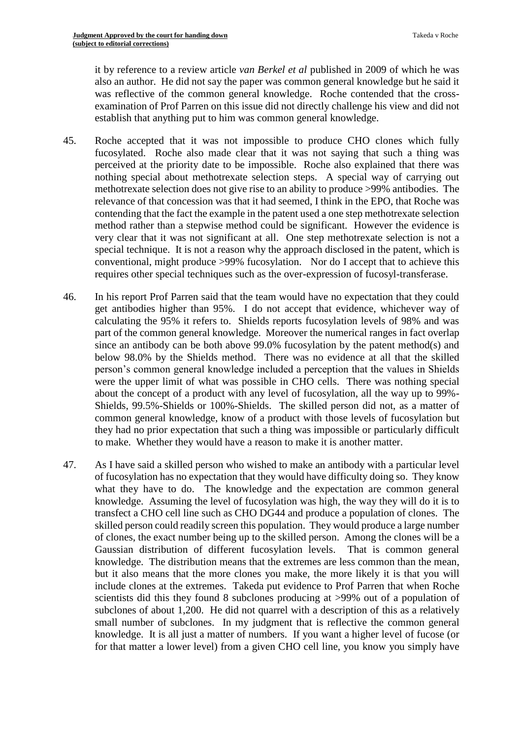it by reference to a review article *van Berkel et al* published in 2009 of which he was also an author. He did not say the paper was common general knowledge but he said it was reflective of the common general knowledge. Roche contended that the crossexamination of Prof Parren on this issue did not directly challenge his view and did not establish that anything put to him was common general knowledge.

- 45. Roche accepted that it was not impossible to produce CHO clones which fully fucosylated. Roche also made clear that it was not saying that such a thing was perceived at the priority date to be impossible. Roche also explained that there was nothing special about methotrexate selection steps. A special way of carrying out methotrexate selection does not give rise to an ability to produce >99% antibodies. The relevance of that concession was that it had seemed, I think in the EPO, that Roche was contending that the fact the example in the patent used a one step methotrexate selection method rather than a stepwise method could be significant. However the evidence is very clear that it was not significant at all. One step methotrexate selection is not a special technique. It is not a reason why the approach disclosed in the patent, which is conventional, might produce >99% fucosylation. Nor do I accept that to achieve this requires other special techniques such as the over-expression of fucosyl-transferase.
- 46. In his report Prof Parren said that the team would have no expectation that they could get antibodies higher than 95%. I do not accept that evidence, whichever way of calculating the 95% it refers to. Shields reports fucosylation levels of 98% and was part of the common general knowledge. Moreover the numerical ranges in fact overlap since an antibody can be both above 99.0% fucosylation by the patent method(s) and below 98.0% by the Shields method. There was no evidence at all that the skilled person's common general knowledge included a perception that the values in Shields were the upper limit of what was possible in CHO cells. There was nothing special about the concept of a product with any level of fucosylation, all the way up to 99%- Shields, 99.5%-Shields or 100%-Shields. The skilled person did not, as a matter of common general knowledge, know of a product with those levels of fucosylation but they had no prior expectation that such a thing was impossible or particularly difficult to make. Whether they would have a reason to make it is another matter.
- 47. As I have said a skilled person who wished to make an antibody with a particular level of fucosylation has no expectation that they would have difficulty doing so. They know what they have to do. The knowledge and the expectation are common general knowledge. Assuming the level of fucosylation was high, the way they will do it is to transfect a CHO cell line such as CHO DG44 and produce a population of clones. The skilled person could readily screen this population. They would produce a large number of clones, the exact number being up to the skilled person. Among the clones will be a Gaussian distribution of different fucosylation levels. That is common general knowledge. The distribution means that the extremes are less common than the mean, but it also means that the more clones you make, the more likely it is that you will include clones at the extremes. Takeda put evidence to Prof Parren that when Roche scientists did this they found 8 subclones producing at >99% out of a population of subclones of about 1,200. He did not quarrel with a description of this as a relatively small number of subclones. In my judgment that is reflective the common general knowledge. It is all just a matter of numbers. If you want a higher level of fucose (or for that matter a lower level) from a given CHO cell line, you know you simply have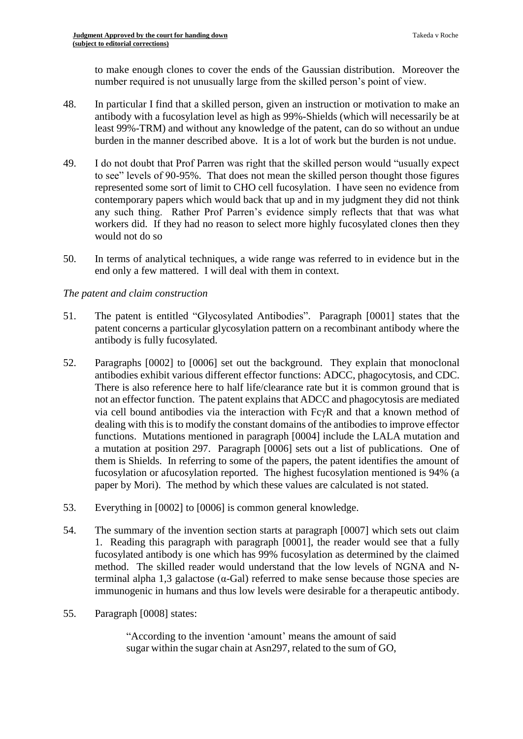to make enough clones to cover the ends of the Gaussian distribution. Moreover the number required is not unusually large from the skilled person's point of view.

- 48. In particular I find that a skilled person, given an instruction or motivation to make an antibody with a fucosylation level as high as 99%-Shields (which will necessarily be at least 99%-TRM) and without any knowledge of the patent, can do so without an undue burden in the manner described above. It is a lot of work but the burden is not undue.
- 49. I do not doubt that Prof Parren was right that the skilled person would "usually expect to see" levels of 90-95%. That does not mean the skilled person thought those figures represented some sort of limit to CHO cell fucosylation. I have seen no evidence from contemporary papers which would back that up and in my judgment they did not think any such thing. Rather Prof Parren's evidence simply reflects that that was what workers did. If they had no reason to select more highly fucosylated clones then they would not do so
- 50. In terms of analytical techniques, a wide range was referred to in evidence but in the end only a few mattered. I will deal with them in context.

# *The patent and claim construction*

- 51. The patent is entitled "Glycosylated Antibodies". Paragraph [0001] states that the patent concerns a particular glycosylation pattern on a recombinant antibody where the antibody is fully fucosylated.
- 52. Paragraphs [0002] to [0006] set out the background. They explain that monoclonal antibodies exhibit various different effector functions: ADCC, phagocytosis, and CDC. There is also reference here to half life/clearance rate but it is common ground that is not an effector function. The patent explains that ADCC and phagocytosis are mediated via cell bound antibodies via the interaction with  $Fc\gamma R$  and that a known method of dealing with this is to modify the constant domains of the antibodies to improve effector functions. Mutations mentioned in paragraph [0004] include the LALA mutation and a mutation at position 297. Paragraph [0006] sets out a list of publications. One of them is Shields. In referring to some of the papers, the patent identifies the amount of fucosylation or afucosylation reported. The highest fucosylation mentioned is 94% (a paper by Mori). The method by which these values are calculated is not stated.
- 53. Everything in [0002] to [0006] is common general knowledge.
- 54. The summary of the invention section starts at paragraph [0007] which sets out claim 1. Reading this paragraph with paragraph [0001], the reader would see that a fully fucosylated antibody is one which has 99% fucosylation as determined by the claimed method. The skilled reader would understand that the low levels of NGNA and Nterminal alpha 1,3 galactose (α-Gal) referred to make sense because those species are immunogenic in humans and thus low levels were desirable for a therapeutic antibody.
- 55. Paragraph [0008] states:

"According to the invention 'amount' means the amount of said sugar within the sugar chain at Asn297, related to the sum of GO,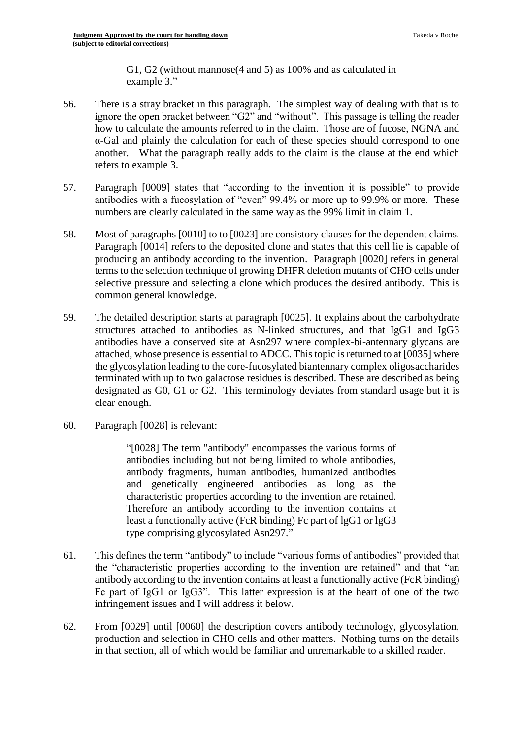G1, G2 (without mannose(4 and 5) as 100% and as calculated in example 3."

- 56. There is a stray bracket in this paragraph. The simplest way of dealing with that is to ignore the open bracket between "G2" and "without". This passage is telling the reader how to calculate the amounts referred to in the claim. Those are of fucose, NGNA and α-Gal and plainly the calculation for each of these species should correspond to one another. What the paragraph really adds to the claim is the clause at the end which refers to example 3.
- 57. Paragraph [0009] states that "according to the invention it is possible" to provide antibodies with a fucosylation of "even" 99.4% or more up to 99.9% or more. These numbers are clearly calculated in the same way as the 99% limit in claim 1.
- 58. Most of paragraphs [0010] to to [0023] are consistory clauses for the dependent claims. Paragraph [0014] refers to the deposited clone and states that this cell lie is capable of producing an antibody according to the invention. Paragraph [0020] refers in general terms to the selection technique of growing DHFR deletion mutants of CHO cells under selective pressure and selecting a clone which produces the desired antibody. This is common general knowledge.
- 59. The detailed description starts at paragraph [0025]. It explains about the carbohydrate structures attached to antibodies as N-linked structures, and that IgG1 and IgG3 antibodies have a conserved site at Asn297 where complex-bi-antennary glycans are attached, whose presence is essential to ADCC. This topic is returned to at [0035] where the glycosylation leading to the core-fucosylated biantennary complex oligosaccharides terminated with up to two galactose residues is described. These are described as being designated as G0, G1 or G2. This terminology deviates from standard usage but it is clear enough.
- 60. Paragraph [0028] is relevant:

"[0028] The term "antibody" encompasses the various forms of antibodies including but not being limited to whole antibodies, antibody fragments, human antibodies, humanized antibodies and genetically engineered antibodies as long as the characteristic properties according to the invention are retained. Therefore an antibody according to the invention contains at least a functionally active (FcR binding) Fc part of lgG1 or lgG3 type comprising glycosylated Asn297."

- 61. This defines the term "antibody" to include "various forms of antibodies" provided that the "characteristic properties according to the invention are retained" and that "an antibody according to the invention contains at least a functionally active (FcR binding) Fc part of IgG1 or IgG3". This latter expression is at the heart of one of the two infringement issues and I will address it below.
- 62. From [0029] until [0060] the description covers antibody technology, glycosylation, production and selection in CHO cells and other matters. Nothing turns on the details in that section, all of which would be familiar and unremarkable to a skilled reader.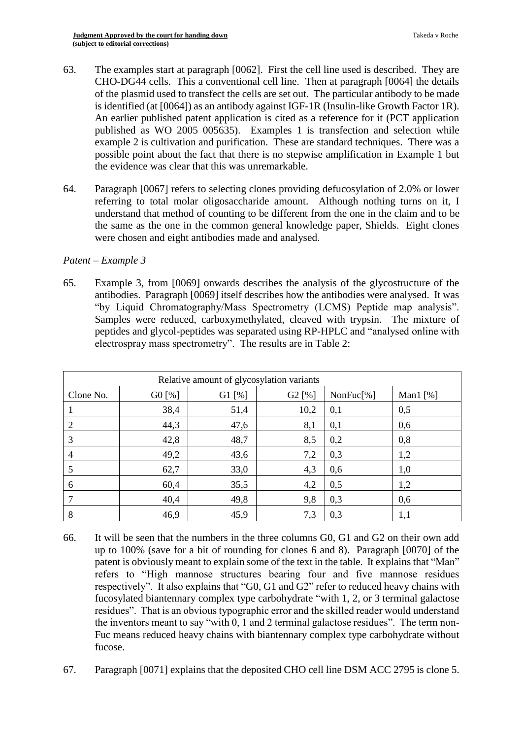- 63. The examples start at paragraph [0062]. First the cell line used is described. They are CHO-DG44 cells. This a conventional cell line. Then at paragraph [0064] the details of the plasmid used to transfect the cells are set out. The particular antibody to be made is identified (at [0064]) as an antibody against IGF-1R (Insulin-like Growth Factor 1R). An earlier published patent application is cited as a reference for it (PCT application published as WO 2005 005635). Examples 1 is transfection and selection while example 2 is cultivation and purification. These are standard techniques. There was a possible point about the fact that there is no stepwise amplification in Example 1 but the evidence was clear that this was unremarkable.
- 64. Paragraph [0067] refers to selecting clones providing defucosylation of 2.0% or lower referring to total molar oligosaccharide amount. Although nothing turns on it, I understand that method of counting to be different from the one in the claim and to be the same as the one in the common general knowledge paper, Shields. Eight clones were chosen and eight antibodies made and analysed.

# *Patent – Example 3*

65. Example 3, from [0069] onwards describes the analysis of the glycostructure of the antibodies. Paragraph [0069] itself describes how the antibodies were analysed. It was "by Liquid Chromatography/Mass Spectrometry (LCMS) Peptide map analysis". Samples were reduced, carboxymethylated, cleaved with trypsin. The mixture of peptides and glycol-peptides was separated using RP-HPLC and "analysed online with electrospray mass spectrometry". The results are in Table 2:

| Relative amount of glycosylation variants |          |        |        |               |             |
|-------------------------------------------|----------|--------|--------|---------------|-------------|
| Clone No.                                 | $G0$ [%] | G1 [%] | G2 [%] | NonFuc $[\%]$ | Man1 $[\%]$ |
|                                           | 38,4     | 51,4   | 10,2   | 0,1           | 0,5         |
| 2                                         | 44,3     | 47,6   | 8,1    | 0,1           | 0,6         |
| 3                                         | 42,8     | 48,7   | 8,5    | 0,2           | 0,8         |
| $\overline{4}$                            | 49,2     | 43,6   | 7,2    | 0,3           | 1,2         |
| 5                                         | 62,7     | 33,0   | 4,3    | 0,6           | 1,0         |
| 6                                         | 60,4     | 35,5   | 4,2    | 0,5           | 1,2         |
|                                           | 40,4     | 49,8   | 9,8    | 0,3           | 0,6         |
| 8                                         | 46,9     | 45,9   | 7,3    | 0,3           | 1,1         |

- 66. It will be seen that the numbers in the three columns G0, G1 and G2 on their own add up to 100% (save for a bit of rounding for clones 6 and 8). Paragraph [0070] of the patent is obviously meant to explain some of the text in the table. It explains that "Man" refers to "High mannose structures bearing four and five mannose residues respectively". It also explains that "G0, G1 and G2" refer to reduced heavy chains with fucosylated biantennary complex type carbohydrate "with 1, 2, or 3 terminal galactose residues". That is an obvious typographic error and the skilled reader would understand the inventors meant to say "with 0, 1 and 2 terminal galactose residues". The term non-Fuc means reduced heavy chains with biantennary complex type carbohydrate without fucose.
- 67. Paragraph [0071] explains that the deposited CHO cell line DSM ACC 2795 is clone 5.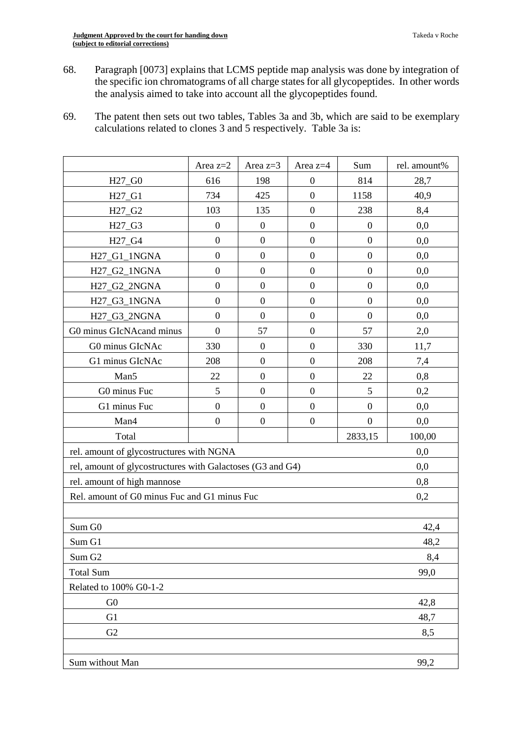- 68. Paragraph [0073] explains that LCMS peptide map analysis was done by integration of the specific ion chromatograms of all charge states for all glycopeptides. In other words the analysis aimed to take into account all the glycopeptides found.
- 69. The patent then sets out two tables, Tables 3a and 3b, which are said to be exemplary calculations related to clones 3 and 5 respectively. Table 3a is:

|                                                                   | Area $z=2$                                          | Area $z=3$       | Area z=4         | Sum              | rel. amount% |
|-------------------------------------------------------------------|-----------------------------------------------------|------------------|------------------|------------------|--------------|
| H <sub>27_G0</sub>                                                | 616                                                 | 198              | $\boldsymbol{0}$ | 814              | 28,7         |
| $H27_G1$                                                          | 734                                                 | 425              | $\overline{0}$   | 1158             | 40,9         |
| H27_G2                                                            | 103                                                 | 135              | $\overline{0}$   | 238              | 8,4          |
| H27_G3                                                            | $\boldsymbol{0}$                                    | $\boldsymbol{0}$ | $\overline{0}$   | $\boldsymbol{0}$ | 0,0          |
| H <sub>27_G4</sub>                                                | $\boldsymbol{0}$                                    | $\boldsymbol{0}$ | $\boldsymbol{0}$ | $\boldsymbol{0}$ | 0,0          |
| H27_G1_1NGNA                                                      | $\boldsymbol{0}$                                    | $\boldsymbol{0}$ | $\boldsymbol{0}$ | $\boldsymbol{0}$ | 0,0          |
| H27_G2_1NGNA                                                      | $\boldsymbol{0}$                                    | $\boldsymbol{0}$ | $\boldsymbol{0}$ | $\boldsymbol{0}$ | 0,0          |
| H27_G2_2NGNA                                                      | $\boldsymbol{0}$                                    | $\boldsymbol{0}$ | $\boldsymbol{0}$ | $\boldsymbol{0}$ | 0,0          |
| H27_G3_1NGNA                                                      | $\boldsymbol{0}$                                    | $\boldsymbol{0}$ | $\boldsymbol{0}$ | $\boldsymbol{0}$ | 0,0          |
| H27_G3_2NGNA                                                      | $\boldsymbol{0}$                                    | $\boldsymbol{0}$ | $\boldsymbol{0}$ | $\boldsymbol{0}$ | 0,0          |
| G0 minus GIcNAcand minus                                          | $\boldsymbol{0}$                                    | 57               | $\overline{0}$   | 57               | 2,0          |
| G0 minus GIcNAc                                                   | 330                                                 | $\boldsymbol{0}$ | $\boldsymbol{0}$ | 330              | 11,7         |
| G1 minus GIcNAc                                                   | 208                                                 | $\boldsymbol{0}$ | $\boldsymbol{0}$ | 208              | 7,4          |
| Man5                                                              | 22                                                  | $\boldsymbol{0}$ | $\boldsymbol{0}$ | 22               | 0,8          |
| G0 minus Fuc                                                      | 5                                                   | $\boldsymbol{0}$ | $\boldsymbol{0}$ | 5                | 0,2          |
| G1 minus Fuc                                                      | $\boldsymbol{0}$                                    | $\boldsymbol{0}$ | $\boldsymbol{0}$ | $\boldsymbol{0}$ | 0,0          |
| Man4                                                              | $\boldsymbol{0}$                                    | $\boldsymbol{0}$ | $\boldsymbol{0}$ | $\boldsymbol{0}$ | 0,0          |
| Total                                                             |                                                     |                  |                  | 2833,15          | 100,00       |
| rel. amount of glycostructures with NGNA<br>0,0                   |                                                     |                  |                  |                  |              |
| rel, amount of glycostructures with Galactoses (G3 and G4)<br>0,0 |                                                     |                  |                  |                  |              |
| rel. amount of high mannose<br>0,8                                |                                                     |                  |                  |                  |              |
|                                                                   | Rel. amount of G0 minus Fuc and G1 minus Fuc<br>0,2 |                  |                  |                  |              |
|                                                                   |                                                     |                  |                  |                  |              |
| Sum G0                                                            |                                                     |                  |                  |                  | 42,4         |
| Sum G1<br>48,2                                                    |                                                     |                  |                  |                  |              |
| Sum G <sub>2</sub><br>8,4                                         |                                                     |                  |                  |                  |              |
| <b>Total Sum</b><br>99,0                                          |                                                     |                  |                  |                  |              |
| Related to 100% G0-1-2                                            |                                                     |                  |                  |                  |              |
| G <sub>0</sub>                                                    |                                                     |                  |                  |                  | 42,8         |
| G <sub>1</sub>                                                    |                                                     |                  |                  |                  | 48,7         |
| G2                                                                |                                                     |                  |                  |                  | 8,5          |
|                                                                   |                                                     |                  |                  |                  |              |
| Sum without Man                                                   |                                                     |                  |                  |                  | 99,2         |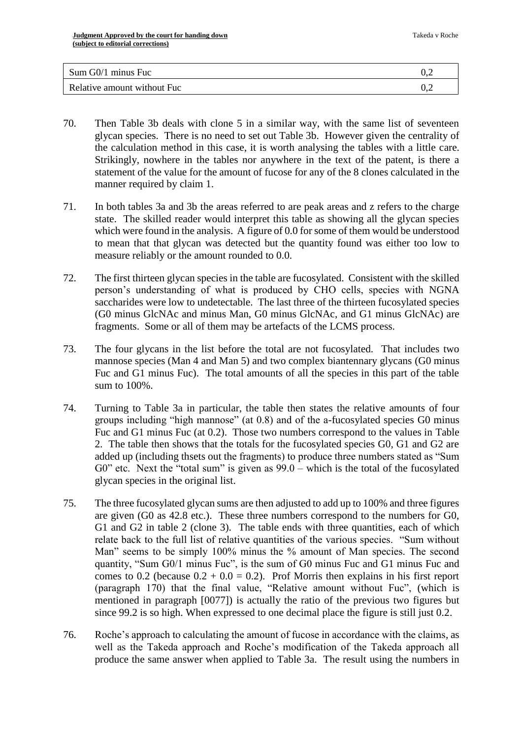| Sum G0/1 minus Fuc          |  |
|-----------------------------|--|
| Relative amount without Fuc |  |

- 70. Then Table 3b deals with clone 5 in a similar way, with the same list of seventeen glycan species. There is no need to set out Table 3b. However given the centrality of the calculation method in this case, it is worth analysing the tables with a little care. Strikingly, nowhere in the tables nor anywhere in the text of the patent, is there a statement of the value for the amount of fucose for any of the 8 clones calculated in the manner required by claim 1.
- 71. In both tables 3a and 3b the areas referred to are peak areas and z refers to the charge state. The skilled reader would interpret this table as showing all the glycan species which were found in the analysis. A figure of 0.0 for some of them would be understood to mean that that glycan was detected but the quantity found was either too low to measure reliably or the amount rounded to 0.0.
- 72. The first thirteen glycan species in the table are fucosylated. Consistent with the skilled person's understanding of what is produced by CHO cells, species with NGNA saccharides were low to undetectable. The last three of the thirteen fucosylated species (G0 minus GlcNAc and minus Man, G0 minus GlcNAc, and G1 minus GlcNAc) are fragments. Some or all of them may be artefacts of the LCMS process.
- 73. The four glycans in the list before the total are not fucosylated. That includes two mannose species (Man 4 and Man 5) and two complex biantennary glycans (G0 minus Fuc and G1 minus Fuc). The total amounts of all the species in this part of the table sum to 100%.
- 74. Turning to Table 3a in particular, the table then states the relative amounts of four groups including "high mannose" (at 0.8) and of the a-fucosylated species G0 minus Fuc and G1 minus Fuc (at 0.2). Those two numbers correspond to the values in Table 2. The table then shows that the totals for the fucosylated species G0, G1 and G2 are added up (including thsets out the fragments) to produce three numbers stated as "Sum G0" etc. Next the "total sum" is given as  $99.0$  – which is the total of the fucosylated glycan species in the original list.
- 75. The three fucosylated glycan sums are then adjusted to add up to 100% and three figures are given (G0 as 42.8 etc.). These three numbers correspond to the numbers for G0, G1 and G2 in table 2 (clone 3). The table ends with three quantities, each of which relate back to the full list of relative quantities of the various species. "Sum without Man" seems to be simply 100% minus the % amount of Man species. The second quantity, "Sum G0/1 minus Fuc", is the sum of G0 minus Fuc and G1 minus Fuc and comes to 0.2 (because  $0.2 + 0.0 = 0.2$ ). Prof Morris then explains in his first report (paragraph 170) that the final value, "Relative amount without Fuc", (which is mentioned in paragraph [0077]) is actually the ratio of the previous two figures but since 99.2 is so high. When expressed to one decimal place the figure is still just 0.2.
- 76. Roche's approach to calculating the amount of fucose in accordance with the claims, as well as the Takeda approach and Roche's modification of the Takeda approach all produce the same answer when applied to Table 3a. The result using the numbers in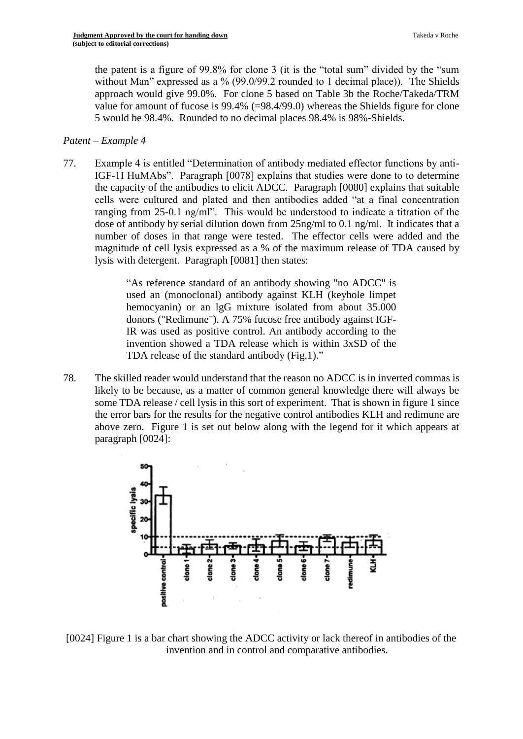the patent is a figure of 99.8% for clone 3 (it is the "total sum" divided by the "sum without Man" expressed as a % (99.0/99.2 rounded to 1 decimal place)). The Shields approach would give 99.0%. For clone 5 based on Table 3b the Roche/Takeda/TRM value for amount of fucose is 99.4% (=98.4/99.0) whereas the Shields figure for clone 5 would be 98.4%. Rounded to no decimal places 98.4% is 98%-Shields.

# *Patent – Example 4*

77. Example 4 is entitled "Determination of antibody mediated effector functions by anti-IGF-1I HuMAbs". Paragraph [0078] explains that studies were done to to determine the capacity of the antibodies to elicit ADCC. Paragraph [0080] explains that suitable cells were cultured and plated and then antibodies added "at a final concentration ranging from 25-0.1 ng/ml". This would be understood to indicate a titration of the dose of antibody by serial dilution down from 25ng/ml to 0.1 ng/ml. It indicates that a number of doses in that range were tested. The effector cells were added and the magnitude of cell lysis expressed as a % of the maximum release of TDA caused by lysis with detergent. Paragraph [0081] then states:

> "As reference standard of an antibody showing "no ADCC" is used an (monoclonal) antibody against KLH (keyhole limpet hemocyanin) or an lgG mixture isolated from about 35.000 donors ("Redimune"). A 75% fucose free antibody against IGF-IR was used as positive control. An antibody according to the invention showed a TDA release which is within 3xSD of the TDA release of the standard antibody (Fig.1)."

78. The skilled reader would understand that the reason no ADCC is in inverted commas is likely to be because, as a matter of common general knowledge there will always be some TDA release / cell lysis in this sort of experiment. That is shown in figure 1 since the error bars for the results for the negative control antibodies KLH and redimune are above zero. Figure 1 is set out below along with the legend for it which appears at paragraph [0024]:



[0024] Figure 1 is a bar chart showing the ADCC activity or lack thereof in antibodies of the invention and in control and comparative antibodies.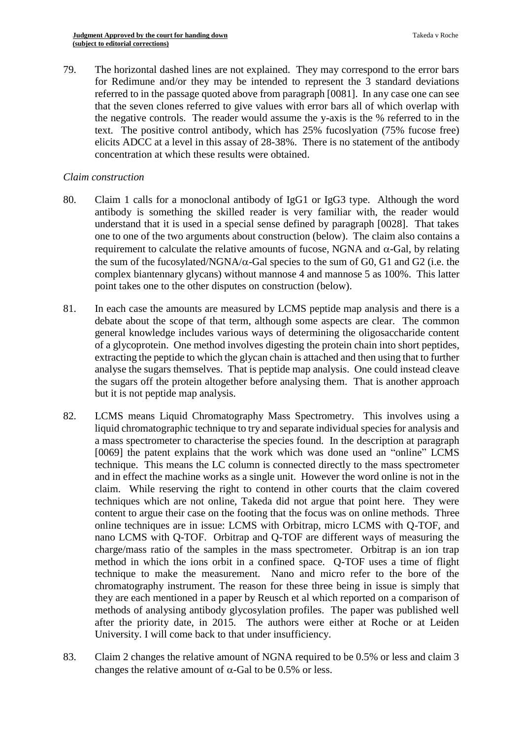79. The horizontal dashed lines are not explained. They may correspond to the error bars for Redimune and/or they may be intended to represent the 3 standard deviations referred to in the passage quoted above from paragraph [0081]. In any case one can see that the seven clones referred to give values with error bars all of which overlap with the negative controls. The reader would assume the y-axis is the % referred to in the text. The positive control antibody, which has 25% fucoslyation (75% fucose free) elicits ADCC at a level in this assay of 28-38%. There is no statement of the antibody concentration at which these results were obtained.

#### *Claim construction*

- 80. Claim 1 calls for a monoclonal antibody of IgG1 or IgG3 type. Although the word antibody is something the skilled reader is very familiar with, the reader would understand that it is used in a special sense defined by paragraph [0028]. That takes one to one of the two arguments about construction (below). The claim also contains a requirement to calculate the relative amounts of fucose, NGNA and  $\alpha$ -Gal, by relating the sum of the fucosylated/NGNA/ $\alpha$ -Gal species to the sum of G0, G1 and G2 (i.e. the complex biantennary glycans) without mannose 4 and mannose 5 as 100%. This latter point takes one to the other disputes on construction (below).
- 81. In each case the amounts are measured by LCMS peptide map analysis and there is a debate about the scope of that term, although some aspects are clear. The common general knowledge includes various ways of determining the oligosaccharide content of a glycoprotein. One method involves digesting the protein chain into short peptides, extracting the peptide to which the glycan chain is attached and then using that to further analyse the sugars themselves. That is peptide map analysis. One could instead cleave the sugars off the protein altogether before analysing them. That is another approach but it is not peptide map analysis.
- 82. LCMS means Liquid Chromatography Mass Spectrometry. This involves using a liquid chromatographic technique to try and separate individual species for analysis and a mass spectrometer to characterise the species found. In the description at paragraph [0069] the patent explains that the work which was done used an "online" LCMS technique. This means the LC column is connected directly to the mass spectrometer and in effect the machine works as a single unit. However the word online is not in the claim. While reserving the right to contend in other courts that the claim covered techniques which are not online, Takeda did not argue that point here. They were content to argue their case on the footing that the focus was on online methods. Three online techniques are in issue: LCMS with Orbitrap, micro LCMS with Q-TOF, and nano LCMS with Q-TOF. Orbitrap and Q-TOF are different ways of measuring the charge/mass ratio of the samples in the mass spectrometer. Orbitrap is an ion trap method in which the ions orbit in a confined space. Q-TOF uses a time of flight technique to make the measurement. Nano and micro refer to the bore of the chromatography instrument. The reason for these three being in issue is simply that they are each mentioned in a paper by Reusch et al which reported on a comparison of methods of analysing antibody glycosylation profiles. The paper was published well after the priority date, in 2015. The authors were either at Roche or at Leiden University. I will come back to that under insufficiency.
- 83. Claim 2 changes the relative amount of NGNA required to be 0.5% or less and claim 3 changes the relative amount of  $\alpha$ -Gal to be 0.5% or less.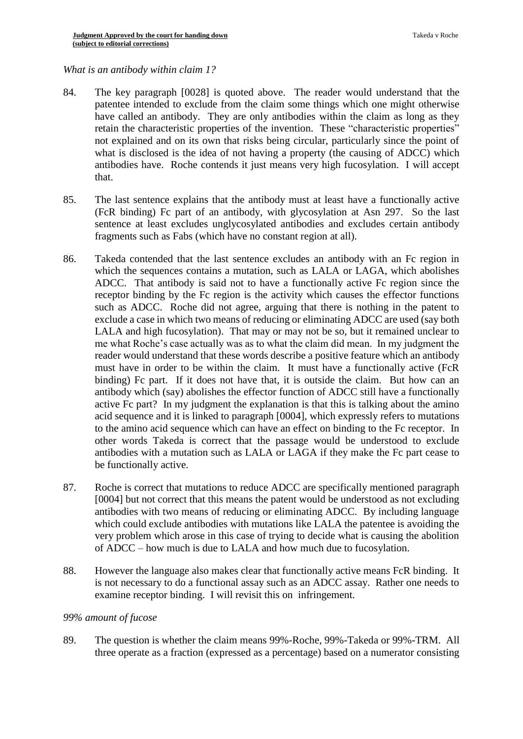#### *What is an antibody within claim 1?*

- 84. The key paragraph [0028] is quoted above. The reader would understand that the patentee intended to exclude from the claim some things which one might otherwise have called an antibody. They are only antibodies within the claim as long as they retain the characteristic properties of the invention. These "characteristic properties" not explained and on its own that risks being circular, particularly since the point of what is disclosed is the idea of not having a property (the causing of ADCC) which antibodies have. Roche contends it just means very high fucosylation. I will accept that.
- 85. The last sentence explains that the antibody must at least have a functionally active (FcR binding) Fc part of an antibody, with glycosylation at Asn 297. So the last sentence at least excludes unglycosylated antibodies and excludes certain antibody fragments such as Fabs (which have no constant region at all).
- 86. Takeda contended that the last sentence excludes an antibody with an Fc region in which the sequences contains a mutation, such as LALA or LAGA, which abolishes ADCC. That antibody is said not to have a functionally active Fc region since the receptor binding by the Fc region is the activity which causes the effector functions such as ADCC. Roche did not agree, arguing that there is nothing in the patent to exclude a case in which two means of reducing or eliminating ADCC are used (say both LALA and high fucosylation). That may or may not be so, but it remained unclear to me what Roche's case actually was as to what the claim did mean. In my judgment the reader would understand that these words describe a positive feature which an antibody must have in order to be within the claim. It must have a functionally active (FcR binding) Fc part. If it does not have that, it is outside the claim. But how can an antibody which (say) abolishes the effector function of ADCC still have a functionally active Fc part? In my judgment the explanation is that this is talking about the amino acid sequence and it is linked to paragraph [0004], which expressly refers to mutations to the amino acid sequence which can have an effect on binding to the Fc receptor. In other words Takeda is correct that the passage would be understood to exclude antibodies with a mutation such as LALA or LAGA if they make the Fc part cease to be functionally active.
- 87. Roche is correct that mutations to reduce ADCC are specifically mentioned paragraph [0004] but not correct that this means the patent would be understood as not excluding antibodies with two means of reducing or eliminating ADCC. By including language which could exclude antibodies with mutations like LALA the patentee is avoiding the very problem which arose in this case of trying to decide what is causing the abolition of ADCC – how much is due to LALA and how much due to fucosylation.
- 88. However the language also makes clear that functionally active means FcR binding. It is not necessary to do a functional assay such as an ADCC assay. Rather one needs to examine receptor binding. I will revisit this on infringement.

#### *99% amount of fucose*

89. The question is whether the claim means 99%-Roche, 99%-Takeda or 99%-TRM. All three operate as a fraction (expressed as a percentage) based on a numerator consisting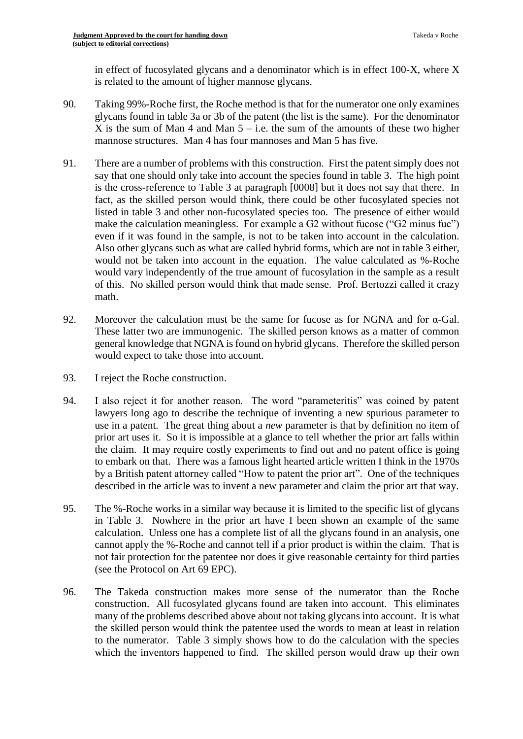in effect of fucosylated glycans and a denominator which is in effect 100-X, where X is related to the amount of higher mannose glycans.

- 90. Taking 99%-Roche first, the Roche method is that for the numerator one only examines glycans found in table 3a or 3b of the patent (the list is the same). For the denominator X is the sum of Man 4 and Man  $5 - i.e.$  the sum of the amounts of these two higher mannose structures. Man 4 has four mannoses and Man 5 has five.
- 91. There are a number of problems with this construction. First the patent simply does not say that one should only take into account the species found in table 3. The high point is the cross-reference to Table 3 at paragraph [0008] but it does not say that there. In fact, as the skilled person would think, there could be other fucosylated species not listed in table 3 and other non-fucosylated species too. The presence of either would make the calculation meaningless. For example a G2 without fucose ("G2 minus fuc") even if it was found in the sample, is not to be taken into account in the calculation. Also other glycans such as what are called hybrid forms, which are not in table 3 either, would not be taken into account in the equation. The value calculated as %-Roche would vary independently of the true amount of fucosylation in the sample as a result of this. No skilled person would think that made sense. Prof. Bertozzi called it crazy math.
- 92. Moreover the calculation must be the same for fucose as for NGNA and for  $\alpha$ -Gal. These latter two are immunogenic. The skilled person knows as a matter of common general knowledge that NGNA is found on hybrid glycans. Therefore the skilled person would expect to take those into account.
- 93. I reject the Roche construction.
- 94. I also reject it for another reason. The word "parameteritis" was coined by patent lawyers long ago to describe the technique of inventing a new spurious parameter to use in a patent. The great thing about a *new* parameter is that by definition no item of prior art uses it. So it is impossible at a glance to tell whether the prior art falls within the claim. It may require costly experiments to find out and no patent office is going to embark on that. There was a famous light hearted article written I think in the 1970s by a British patent attorney called "How to patent the prior art". One of the techniques described in the article was to invent a new parameter and claim the prior art that way.
- 95. The %-Roche works in a similar way because it is limited to the specific list of glycans in Table 3. Nowhere in the prior art have I been shown an example of the same calculation. Unless one has a complete list of all the glycans found in an analysis, one cannot apply the %-Roche and cannot tell if a prior product is within the claim. That is not fair protection for the patentee nor does it give reasonable certainty for third parties (see the Protocol on Art 69 EPC).
- 96. The Takeda construction makes more sense of the numerator than the Roche construction. All fucosylated glycans found are taken into account. This eliminates many of the problems described above about not taking glycans into account. It is what the skilled person would think the patentee used the words to mean at least in relation to the numerator. Table 3 simply shows how to do the calculation with the species which the inventors happened to find. The skilled person would draw up their own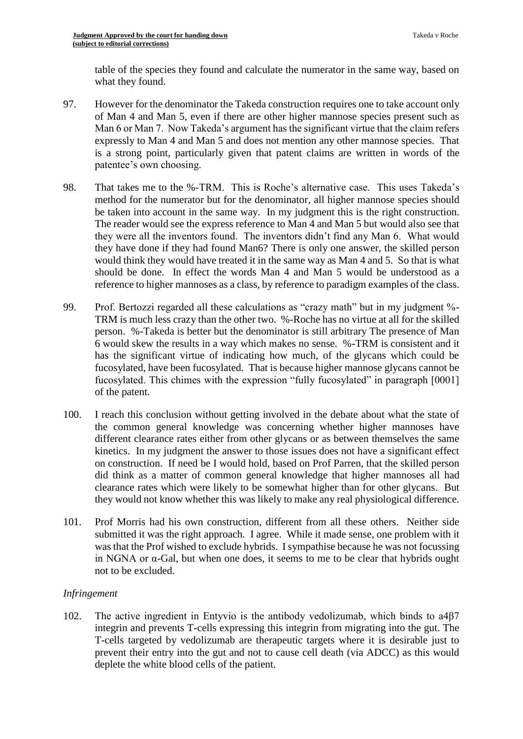table of the species they found and calculate the numerator in the same way, based on what they found.

- 97. However for the denominator the Takeda construction requires one to take account only of Man 4 and Man 5, even if there are other higher mannose species present such as Man 6 or Man 7. Now Takeda's argument has the significant virtue that the claim refers expressly to Man 4 and Man 5 and does not mention any other mannose species. That is a strong point, particularly given that patent claims are written in words of the patentee's own choosing.
- 98. That takes me to the %-TRM. This is Roche's alternative case. This uses Takeda's method for the numerator but for the denominator, all higher mannose species should be taken into account in the same way. In my judgment this is the right construction. The reader would see the express reference to Man 4 and Man 5 but would also see that they were all the inventors found. The inventors didn't find any Man 6. What would they have done if they had found Man6? There is only one answer, the skilled person would think they would have treated it in the same way as Man 4 and 5. So that is what should be done. In effect the words Man 4 and Man 5 would be understood as a reference to higher mannoses as a class, by reference to paradigm examples of the class.
- 99. Prof. Bertozzi regarded all these calculations as "crazy math" but in my judgment %- TRM is much less crazy than the other two. %-Roche has no virtue at all for the skilled person. %-Takeda is better but the denominator is still arbitrary The presence of Man 6 would skew the results in a way which makes no sense. %-TRM is consistent and it has the significant virtue of indicating how much, of the glycans which could be fucosylated, have been fucosylated. That is because higher mannose glycans cannot be fucosylated. This chimes with the expression "fully fucosylated" in paragraph [0001] of the patent.
- 100. I reach this conclusion without getting involved in the debate about what the state of the common general knowledge was concerning whether higher mannoses have different clearance rates either from other glycans or as between themselves the same kinetics. In my judgment the answer to those issues does not have a significant effect on construction. If need be I would hold, based on Prof Parren, that the skilled person did think as a matter of common general knowledge that higher mannoses all had clearance rates which were likely to be somewhat higher than for other glycans. But they would not know whether this was likely to make any real physiological difference.
- 101. Prof Morris had his own construction, different from all these others. Neither side submitted it was the right approach. I agree. While it made sense, one problem with it was that the Prof wished to exclude hybrids. I sympathise because he was not focussing in NGNA or α-Gal, but when one does, it seems to me to be clear that hybrids ought not to be excluded.

# *Infringement*

102. The active ingredient in Entyvio is the antibody vedolizumab, which binds to a4β7 integrin and prevents T-cells expressing this integrin from migrating into the gut. The T-cells targeted by vedolizumab are therapeutic targets where it is desirable just to prevent their entry into the gut and not to cause cell death (via ADCC) as this would deplete the white blood cells of the patient.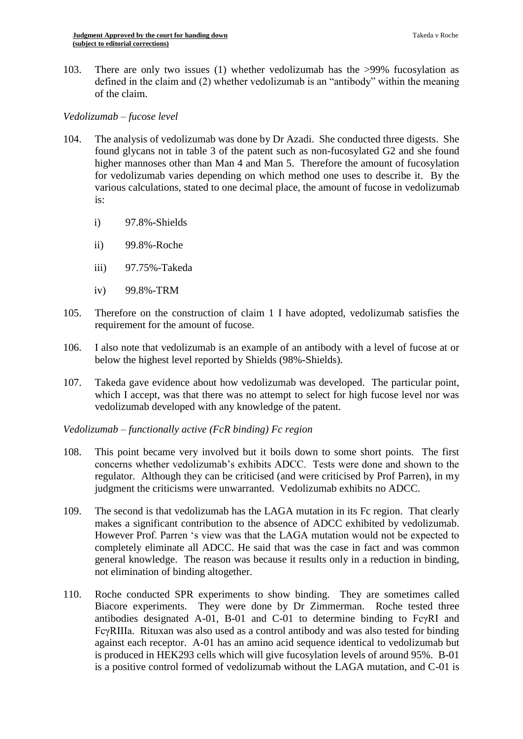103. There are only two issues (1) whether vedolizumab has the >99% fucosylation as defined in the claim and (2) whether vedolizumab is an "antibody" within the meaning of the claim.

#### *Vedolizumab – fucose level*

- 104. The analysis of vedolizumab was done by Dr Azadi. She conducted three digests. She found glycans not in table 3 of the patent such as non-fucosylated G2 and she found higher mannoses other than Man 4 and Man 5. Therefore the amount of fucosylation for vedolizumab varies depending on which method one uses to describe it. By the various calculations, stated to one decimal place, the amount of fucose in vedolizumab is:
	- i) 97.8%-Shields
	- ii) 99.8%-Roche
	- iii) 97.75%-Takeda
	- iv) 99.8%-TRM
- 105. Therefore on the construction of claim 1 I have adopted, vedolizumab satisfies the requirement for the amount of fucose.
- 106. I also note that vedolizumab is an example of an antibody with a level of fucose at or below the highest level reported by Shields (98%-Shields).
- 107. Takeda gave evidence about how vedolizumab was developed. The particular point, which I accept, was that there was no attempt to select for high fucose level nor was vedolizumab developed with any knowledge of the patent.

#### *Vedolizumab – functionally active (FcR binding) Fc region*

- 108. This point became very involved but it boils down to some short points. The first concerns whether vedolizumab's exhibits ADCC. Tests were done and shown to the regulator. Although they can be criticised (and were criticised by Prof Parren), in my judgment the criticisms were unwarranted. Vedolizumab exhibits no ADCC.
- 109. The second is that vedolizumab has the LAGA mutation in its Fc region. That clearly makes a significant contribution to the absence of ADCC exhibited by vedolizumab. However Prof. Parren 's view was that the LAGA mutation would not be expected to completely eliminate all ADCC. He said that was the case in fact and was common general knowledge. The reason was because it results only in a reduction in binding, not elimination of binding altogether.
- 110. Roche conducted SPR experiments to show binding. They are sometimes called Biacore experiments. They were done by Dr Zimmerman. Roche tested three antibodies designated A-01, B-01 and C-01 to determine binding to FcγRI and FcγRIIIa. Rituxan was also used as a control antibody and was also tested for binding against each receptor. A-01 has an amino acid sequence identical to vedolizumab but is produced in HEK293 cells which will give fucosylation levels of around 95%. B-01 is a positive control formed of vedolizumab without the LAGA mutation, and C-01 is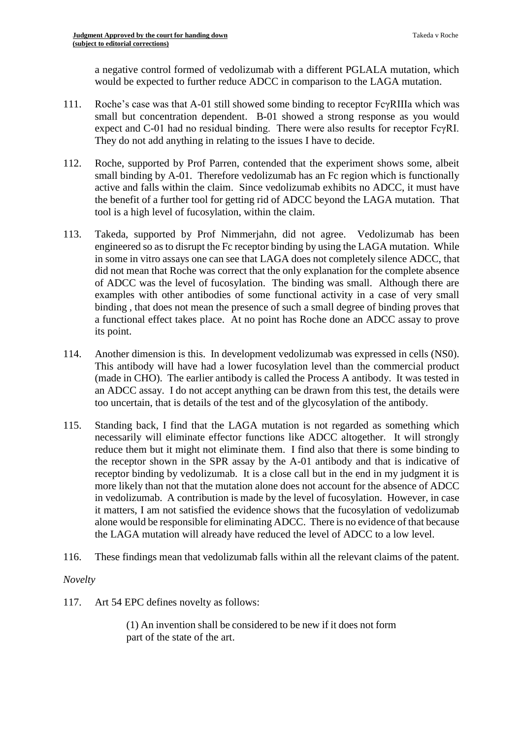a negative control formed of vedolizumab with a different PGLALA mutation, which would be expected to further reduce ADCC in comparison to the LAGA mutation.

- 111. Roche's case was that A-01 still showed some binding to receptor FcγRIIIa which was small but concentration dependent. B-01 showed a strong response as you would expect and C-01 had no residual binding. There were also results for receptor FcγRI. They do not add anything in relating to the issues I have to decide.
- 112. Roche, supported by Prof Parren, contended that the experiment shows some, albeit small binding by A-01. Therefore vedolizumab has an Fc region which is functionally active and falls within the claim. Since vedolizumab exhibits no ADCC, it must have the benefit of a further tool for getting rid of ADCC beyond the LAGA mutation. That tool is a high level of fucosylation, within the claim.
- 113. Takeda, supported by Prof Nimmerjahn, did not agree. Vedolizumab has been engineered so as to disrupt the Fc receptor binding by using the LAGA mutation. While in some in vitro assays one can see that LAGA does not completely silence ADCC, that did not mean that Roche was correct that the only explanation for the complete absence of ADCC was the level of fucosylation. The binding was small. Although there are examples with other antibodies of some functional activity in a case of very small binding , that does not mean the presence of such a small degree of binding proves that a functional effect takes place. At no point has Roche done an ADCC assay to prove its point.
- 114. Another dimension is this. In development vedolizumab was expressed in cells (NS0). This antibody will have had a lower fucosylation level than the commercial product (made in CHO). The earlier antibody is called the Process A antibody. It was tested in an ADCC assay. I do not accept anything can be drawn from this test, the details were too uncertain, that is details of the test and of the glycosylation of the antibody.
- 115. Standing back, I find that the LAGA mutation is not regarded as something which necessarily will eliminate effector functions like ADCC altogether. It will strongly reduce them but it might not eliminate them. I find also that there is some binding to the receptor shown in the SPR assay by the A-01 antibody and that is indicative of receptor binding by vedolizumab. It is a close call but in the end in my judgment it is more likely than not that the mutation alone does not account for the absence of ADCC in vedolizumab. A contribution is made by the level of fucosylation. However, in case it matters, I am not satisfied the evidence shows that the fucosylation of vedolizumab alone would be responsible for eliminating ADCC. There is no evidence of that because the LAGA mutation will already have reduced the level of ADCC to a low level.
- 116. These findings mean that vedolizumab falls within all the relevant claims of the patent.

# *Novelty*

117. Art 54 EPC defines novelty as follows:

(1) An invention shall be considered to be new if it does not form part of the state of the art.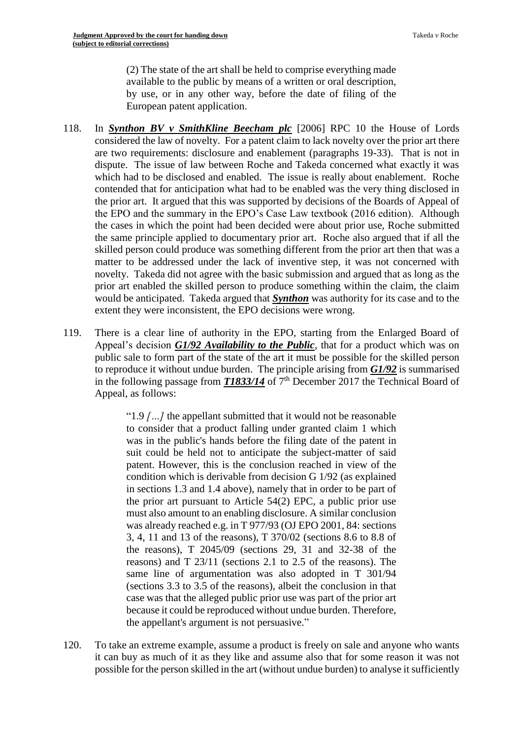(2) The state of the art shall be held to comprise everything made available to the public by means of a written or oral description, by use, or in any other way, before the date of filing of the European patent application.

- 118. In *Synthon BV v SmithKline Beecham plc* [2006] RPC 10 the House of Lords considered the law of novelty. For a patent claim to lack novelty over the prior art there are two requirements: disclosure and enablement (paragraphs 19-33). That is not in dispute. The issue of law between Roche and Takeda concerned what exactly it was which had to be disclosed and enabled. The issue is really about enablement. Roche contended that for anticipation what had to be enabled was the very thing disclosed in the prior art. It argued that this was supported by decisions of the Boards of Appeal of the EPO and the summary in the EPO's Case Law textbook (2016 edition). Although the cases in which the point had been decided were about prior use, Roche submitted the same principle applied to documentary prior art. Roche also argued that if all the skilled person could produce was something different from the prior art then that was a matter to be addressed under the lack of inventive step, it was not concerned with novelty. Takeda did not agree with the basic submission and argued that as long as the prior art enabled the skilled person to produce something within the claim, the claim would be anticipated. Takeda argued that *Synthon* was authority for its case and to the extent they were inconsistent, the EPO decisions were wrong.
- 119. There is a clear line of authority in the EPO, starting from the Enlarged Board of Appeal's decision *G1/92 Availability to the Public*, that for a product which was on public sale to form part of the state of the art it must be possible for the skilled person to reproduce it without undue burden. The principle arising from *G1/92* is summarised in the following passage from **T1833/14** of 7<sup>th</sup> December 2017 the Technical Board of Appeal, as follows:

"1.9 *[…]* the appellant submitted that it would not be reasonable to consider that a product falling under granted claim 1 which was in the public's hands before the filing date of the patent in suit could be held not to anticipate the subject-matter of said patent. However, this is the conclusion reached in view of the condition which is derivable from decision G 1/92 (as explained in sections 1.3 and 1.4 above), namely that in order to be part of the prior art pursuant to Article 54(2) EPC, a public prior use must also amount to an enabling disclosure. A similar conclusion was already reached e.g. in T 977/93 (OJ EPO 2001, 84: sections 3, 4, 11 and 13 of the reasons), T 370/02 (sections 8.6 to 8.8 of the reasons), T 2045/09 (sections 29, 31 and 32-38 of the reasons) and T 23/11 (sections 2.1 to 2.5 of the reasons). The same line of argumentation was also adopted in T 301/94 (sections 3.3 to 3.5 of the reasons), albeit the conclusion in that case was that the alleged public prior use was part of the prior art because it could be reproduced without undue burden. Therefore, the appellant's argument is not persuasive."

120. To take an extreme example, assume a product is freely on sale and anyone who wants it can buy as much of it as they like and assume also that for some reason it was not possible for the person skilled in the art (without undue burden) to analyse it sufficiently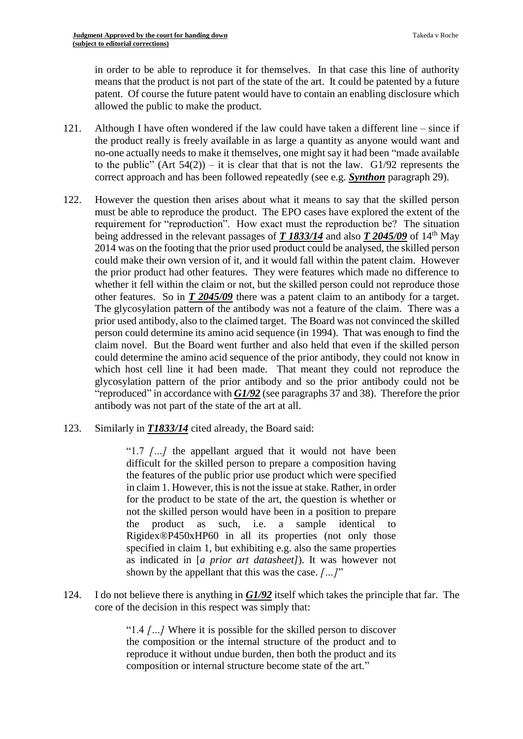in order to be able to reproduce it for themselves. In that case this line of authority means that the product is not part of the state of the art. It could be patented by a future patent. Of course the future patent would have to contain an enabling disclosure which allowed the public to make the product.

- 121. Although I have often wondered if the law could have taken a different line since if the product really is freely available in as large a quantity as anyone would want and no-one actually needs to make it themselves, one might say it had been "made available to the public" (Art  $54(2)$ ) – it is clear that that is not the law. G1/92 represents the correct approach and has been followed repeatedly (see e.g. *Synthon* paragraph 29).
- 122. However the question then arises about what it means to say that the skilled person must be able to reproduce the product. The EPO cases have explored the extent of the requirement for "reproduction". How exact must the reproduction be? The situation being addressed in the relevant passages of **T** 1833/14 and also **T** 2045/09 of 14<sup>th</sup> May 2014 was on the footing that the prior used product could be analysed, the skilled person could make their own version of it, and it would fall within the patent claim. However the prior product had other features. They were features which made no difference to whether it fell within the claim or not, but the skilled person could not reproduce those other features. So in *T 2045/09* there was a patent claim to an antibody for a target. The glycosylation pattern of the antibody was not a feature of the claim. There was a prior used antibody, also to the claimed target. The Board was not convinced the skilled person could determine its amino acid sequence (in 1994). That was enough to find the claim novel. But the Board went further and also held that even if the skilled person could determine the amino acid sequence of the prior antibody, they could not know in which host cell line it had been made. That meant they could not reproduce the glycosylation pattern of the prior antibody and so the prior antibody could not be "reproduced" in accordance with *G1/92* (see paragraphs 37 and 38). Therefore the prior antibody was not part of the state of the art at all.
- 123. Similarly in *T1833/14* cited already, the Board said:

"1.7 *[…]* the appellant argued that it would not have been difficult for the skilled person to prepare a composition having the features of the public prior use product which were specified in claim 1. However, this is not the issue at stake. Rather, in order for the product to be state of the art, the question is whether or not the skilled person would have been in a position to prepare the product as such, i.e. a sample identical to Rigidex®P450xHP60 in all its properties (not only those specified in claim 1, but exhibiting e.g. also the same properties as indicated in [*a prior art datasheet]*). It was however not shown by the appellant that this was the case. *[…]*"

124. I do not believe there is anything in *G1/92* itself which takes the principle that far. The core of the decision in this respect was simply that:

> "1.4 *[…]* Where it is possible for the skilled person to discover the composition or the internal structure of the product and to reproduce it without undue burden, then both the product and its composition or internal structure become state of the art."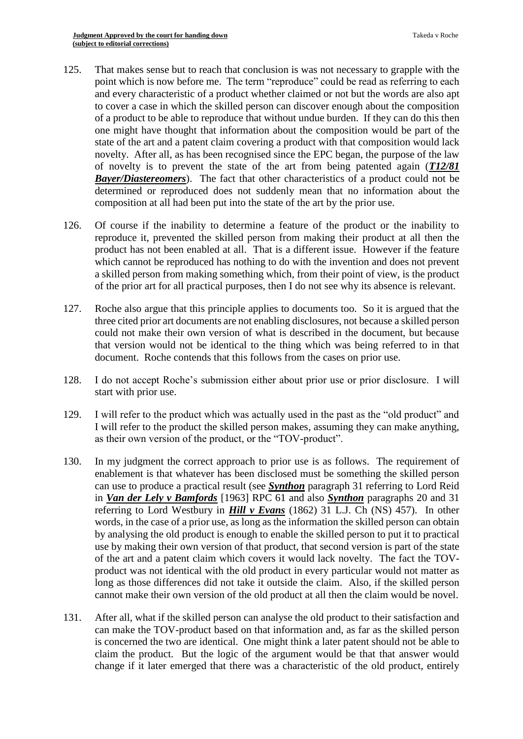- 125. That makes sense but to reach that conclusion is was not necessary to grapple with the point which is now before me. The term "reproduce" could be read as referring to each and every characteristic of a product whether claimed or not but the words are also apt to cover a case in which the skilled person can discover enough about the composition of a product to be able to reproduce that without undue burden. If they can do this then one might have thought that information about the composition would be part of the state of the art and a patent claim covering a product with that composition would lack novelty. After all, as has been recognised since the EPC began, the purpose of the law of novelty is to prevent the state of the art from being patented again (*T12/81 Bayer/Diastereomers*). The fact that other characteristics of a product could not be determined or reproduced does not suddenly mean that no information about the composition at all had been put into the state of the art by the prior use.
- 126. Of course if the inability to determine a feature of the product or the inability to reproduce it, prevented the skilled person from making their product at all then the product has not been enabled at all. That is a different issue. However if the feature which cannot be reproduced has nothing to do with the invention and does not prevent a skilled person from making something which, from their point of view, is the product of the prior art for all practical purposes, then I do not see why its absence is relevant.
- 127. Roche also argue that this principle applies to documents too. So it is argued that the three cited prior art documents are not enabling disclosures, not because a skilled person could not make their own version of what is described in the document, but because that version would not be identical to the thing which was being referred to in that document. Roche contends that this follows from the cases on prior use.
- 128. I do not accept Roche's submission either about prior use or prior disclosure. I will start with prior use.
- 129. I will refer to the product which was actually used in the past as the "old product" and I will refer to the product the skilled person makes, assuming they can make anything, as their own version of the product, or the "TOV-product".
- 130. In my judgment the correct approach to prior use is as follows. The requirement of enablement is that whatever has been disclosed must be something the skilled person can use to produce a practical result (see *Synthon* paragraph 31 referring to Lord Reid in *Van der Lely v Bamfords* [1963] RPC 61 and also *Synthon* paragraphs 20 and 31 referring to Lord Westbury in *Hill v Evans* (1862) 31 L.J. Ch (NS) 457). In other words, in the case of a prior use, as long as the information the skilled person can obtain by analysing the old product is enough to enable the skilled person to put it to practical use by making their own version of that product, that second version is part of the state of the art and a patent claim which covers it would lack novelty. The fact the TOVproduct was not identical with the old product in every particular would not matter as long as those differences did not take it outside the claim. Also, if the skilled person cannot make their own version of the old product at all then the claim would be novel.
- 131. After all, what if the skilled person can analyse the old product to their satisfaction and can make the TOV-product based on that information and, as far as the skilled person is concerned the two are identical. One might think a later patent should not be able to claim the product. But the logic of the argument would be that that answer would change if it later emerged that there was a characteristic of the old product, entirely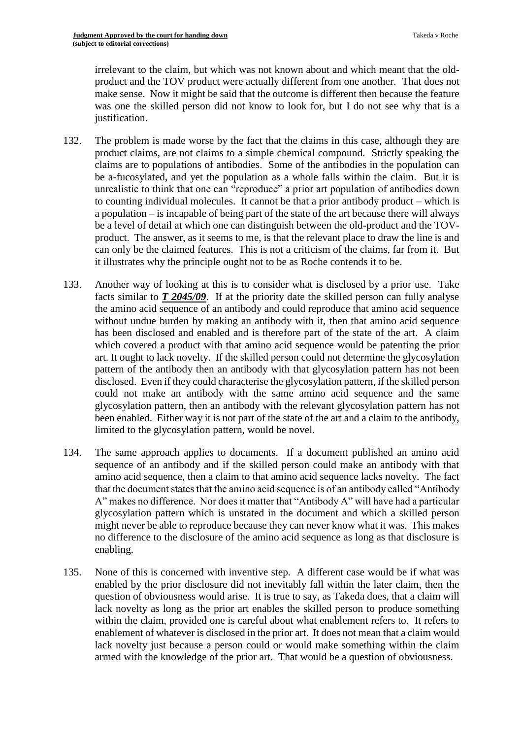irrelevant to the claim, but which was not known about and which meant that the oldproduct and the TOV product were actually different from one another. That does not make sense. Now it might be said that the outcome is different then because the feature was one the skilled person did not know to look for, but I do not see why that is a justification.

- 132. The problem is made worse by the fact that the claims in this case, although they are product claims, are not claims to a simple chemical compound. Strictly speaking the claims are to populations of antibodies. Some of the antibodies in the population can be a-fucosylated, and yet the population as a whole falls within the claim. But it is unrealistic to think that one can "reproduce" a prior art population of antibodies down to counting individual molecules. It cannot be that a prior antibody product – which is a population – is incapable of being part of the state of the art because there will always be a level of detail at which one can distinguish between the old-product and the TOVproduct. The answer, as it seems to me, is that the relevant place to draw the line is and can only be the claimed features. This is not a criticism of the claims, far from it. But it illustrates why the principle ought not to be as Roche contends it to be.
- 133. Another way of looking at this is to consider what is disclosed by a prior use. Take facts similar to *T 2045/09*. If at the priority date the skilled person can fully analyse the amino acid sequence of an antibody and could reproduce that amino acid sequence without undue burden by making an antibody with it, then that amino acid sequence has been disclosed and enabled and is therefore part of the state of the art. A claim which covered a product with that amino acid sequence would be patenting the prior art. It ought to lack novelty. If the skilled person could not determine the glycosylation pattern of the antibody then an antibody with that glycosylation pattern has not been disclosed. Even if they could characterise the glycosylation pattern, if the skilled person could not make an antibody with the same amino acid sequence and the same glycosylation pattern, then an antibody with the relevant glycosylation pattern has not been enabled. Either way it is not part of the state of the art and a claim to the antibody, limited to the glycosylation pattern, would be novel.
- 134. The same approach applies to documents. If a document published an amino acid sequence of an antibody and if the skilled person could make an antibody with that amino acid sequence, then a claim to that amino acid sequence lacks novelty. The fact that the document states that the amino acid sequence is of an antibody called "Antibody A" makes no difference. Nor does it matter that "Antibody A" will have had a particular glycosylation pattern which is unstated in the document and which a skilled person might never be able to reproduce because they can never know what it was. This makes no difference to the disclosure of the amino acid sequence as long as that disclosure is enabling.
- 135. None of this is concerned with inventive step. A different case would be if what was enabled by the prior disclosure did not inevitably fall within the later claim, then the question of obviousness would arise. It is true to say, as Takeda does, that a claim will lack novelty as long as the prior art enables the skilled person to produce something within the claim, provided one is careful about what enablement refers to. It refers to enablement of whatever is disclosed in the prior art. It does not mean that a claim would lack novelty just because a person could or would make something within the claim armed with the knowledge of the prior art. That would be a question of obviousness.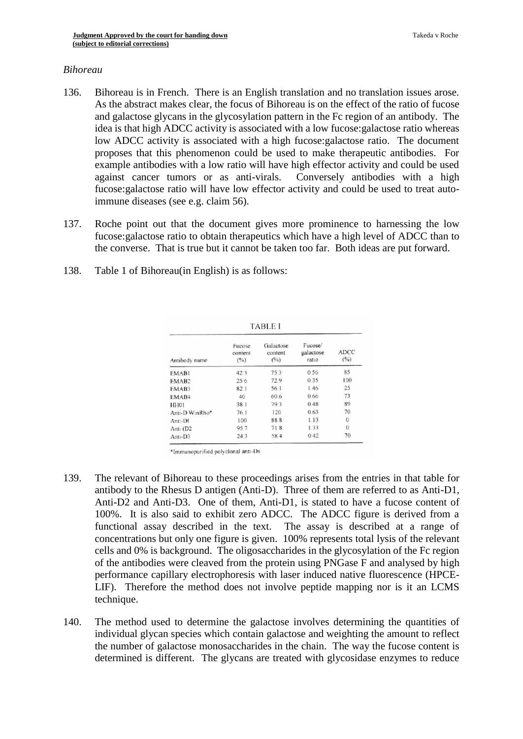#### *Bihoreau*

- 136. Bihoreau is in French. There is an English translation and no translation issues arose. As the abstract makes clear, the focus of Bihoreau is on the effect of the ratio of fucose and galactose glycans in the glycosylation pattern in the Fc region of an antibody. The idea is that high ADCC activity is associated with a low fucose:galactose ratio whereas low ADCC activity is associated with a high fucose:galactose ratio. The document proposes that this phenomenon could be used to make therapeutic antibodies. For example antibodies with a low ratio will have high effector activity and could be used against cancer tumors or as anti-virals. Conversely antibodies with a high fucose:galactose ratio will have low effector activity and could be used to treat autoimmune diseases (see e.g. claim 56).
- 137. Roche point out that the document gives more prominence to harnessing the low fucose:galactose ratio to obtain therapeutics which have a high level of ADCC than to the converse. That is true but it cannot be taken too far. Both ideas are put forward.
- 138. Table 1 of Bihoreau(in English) is as follows:

| <b>TABLE I</b>      |                                        |                                           |                               |                    |
|---------------------|----------------------------------------|-------------------------------------------|-------------------------------|--------------------|
| Antibody name       | Fucose<br>content<br>(° <sub>0</sub> ) | Galactose<br>content<br>(° <sub>0</sub> ) | Fucose/<br>galactose<br>ratio | <b>ADCC</b><br>(%) |
| EMAB1               | 423                                    | 753                                       | 0.56                          | 85                 |
| EMAB <sub>2</sub>   | 25.6                                   | 72.9                                      | 0.35                          | 100                |
| EMAB3               | 82.1                                   | 56.1                                      | 1.46                          | 25                 |
| EMAB4               | 40                                     | 60.6                                      | 0.66                          | 73                 |
| HH01                | 38.1                                   | 793                                       | 0.48                          | 89                 |
| Anti-D WinRho*      | 76.1                                   | 120                                       | 0.63                          | 70                 |
| Anti-DI             | 100                                    | 88.8                                      | 1.13                          | $\theta$           |
| Anti (D2            | 95.7                                   | 71.8                                      | 1.33                          | $\Omega$           |
| Anti-D <sub>3</sub> | 24.3                                   | 58.4                                      | 0.42                          | 70                 |
|                     |                                        |                                           |                               |                    |

\*Immunopurified polyclonal anti-Ds

- 139. The relevant of Bihoreau to these proceedings arises from the entries in that table for antibody to the Rhesus D antigen (Anti-D). Three of them are referred to as Anti-D1, Anti-D2 and Anti-D3. One of them, Anti-D1, is stated to have a fucose content of 100%. It is also said to exhibit zero ADCC. The ADCC figure is derived from a functional assay described in the text. The assay is described at a range of concentrations but only one figure is given. 100% represents total lysis of the relevant cells and 0% is background. The oligosaccharides in the glycosylation of the Fc region of the antibodies were cleaved from the protein using PNGase F and analysed by high performance capillary electrophoresis with laser induced native fluorescence (HPCE-LIF). Therefore the method does not involve peptide mapping nor is it an LCMS technique.
- 140. The method used to determine the galactose involves determining the quantities of individual glycan species which contain galactose and weighting the amount to reflect the number of galactose monosaccharides in the chain. The way the fucose content is determined is different. The glycans are treated with glycosidase enzymes to reduce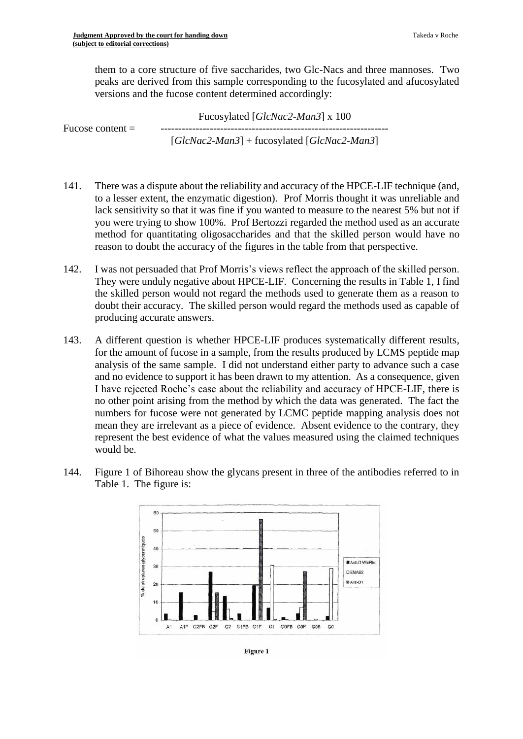them to a core structure of five saccharides, two Glc-Nacs and three mannoses. Two peaks are derived from this sample corresponding to the fucosylated and afucosylated versions and the fucose content determined accordingly:

Fucosylated [*GlcNac2-Man3*] x 100 Fucose content  $=$ [*GlcNac2-Man3*] + fucosylated [*GlcNac2-Man3*]

- 141. There was a dispute about the reliability and accuracy of the HPCE-LIF technique (and, to a lesser extent, the enzymatic digestion). Prof Morris thought it was unreliable and lack sensitivity so that it was fine if you wanted to measure to the nearest 5% but not if you were trying to show 100%. Prof Bertozzi regarded the method used as an accurate method for quantitating oligosaccharides and that the skilled person would have no reason to doubt the accuracy of the figures in the table from that perspective.
- 142. I was not persuaded that Prof Morris's views reflect the approach of the skilled person. They were unduly negative about HPCE-LIF. Concerning the results in Table 1, I find the skilled person would not regard the methods used to generate them as a reason to doubt their accuracy. The skilled person would regard the methods used as capable of producing accurate answers.
- 143. A different question is whether HPCE-LIF produces systematically different results, for the amount of fucose in a sample, from the results produced by LCMS peptide map analysis of the same sample. I did not understand either party to advance such a case and no evidence to support it has been drawn to my attention. As a consequence, given I have rejected Roche's case about the reliability and accuracy of HPCE-LIF, there is no other point arising from the method by which the data was generated. The fact the numbers for fucose were not generated by LCMC peptide mapping analysis does not mean they are irrelevant as a piece of evidence. Absent evidence to the contrary, they represent the best evidence of what the values measured using the claimed techniques would be.
- 144. Figure 1 of Bihoreau show the glycans present in three of the antibodies referred to in Table 1. The figure is:



Figure 1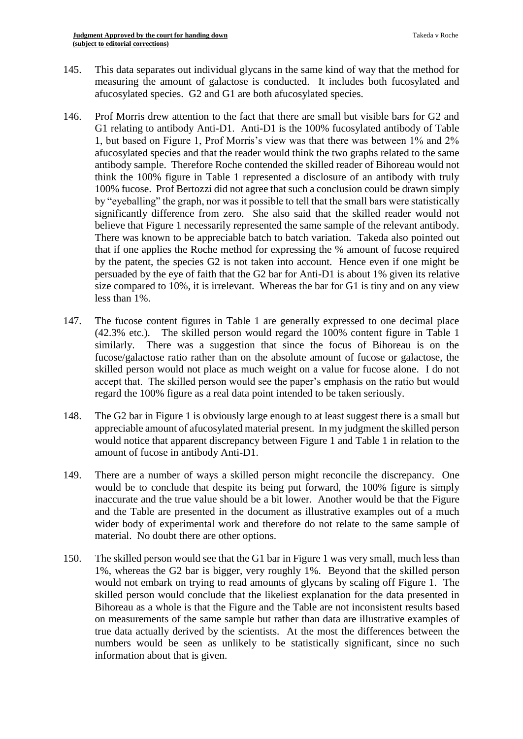- 145. This data separates out individual glycans in the same kind of way that the method for measuring the amount of galactose is conducted. It includes both fucosylated and afucosylated species. G2 and G1 are both afucosylated species.
- 146. Prof Morris drew attention to the fact that there are small but visible bars for G2 and G1 relating to antibody Anti-D1. Anti-D1 is the 100% fucosylated antibody of Table 1, but based on Figure 1, Prof Morris's view was that there was between 1% and 2% afucosylated species and that the reader would think the two graphs related to the same antibody sample. Therefore Roche contended the skilled reader of Bihoreau would not think the 100% figure in Table 1 represented a disclosure of an antibody with truly 100% fucose. Prof Bertozzi did not agree that such a conclusion could be drawn simply by "eyeballing" the graph, nor was it possible to tell that the small bars were statistically significantly difference from zero. She also said that the skilled reader would not believe that Figure 1 necessarily represented the same sample of the relevant antibody. There was known to be appreciable batch to batch variation. Takeda also pointed out that if one applies the Roche method for expressing the % amount of fucose required by the patent, the species G2 is not taken into account. Hence even if one might be persuaded by the eye of faith that the G2 bar for Anti-D1 is about 1% given its relative size compared to 10%, it is irrelevant. Whereas the bar for G1 is tiny and on any view less than 1%.
- 147. The fucose content figures in Table 1 are generally expressed to one decimal place (42.3% etc.). The skilled person would regard the 100% content figure in Table 1 similarly. There was a suggestion that since the focus of Bihoreau is on the fucose/galactose ratio rather than on the absolute amount of fucose or galactose, the skilled person would not place as much weight on a value for fucose alone. I do not accept that. The skilled person would see the paper's emphasis on the ratio but would regard the 100% figure as a real data point intended to be taken seriously.
- 148. The G2 bar in Figure 1 is obviously large enough to at least suggest there is a small but appreciable amount of afucosylated material present. In my judgment the skilled person would notice that apparent discrepancy between Figure 1 and Table 1 in relation to the amount of fucose in antibody Anti-D1.
- 149. There are a number of ways a skilled person might reconcile the discrepancy. One would be to conclude that despite its being put forward, the 100% figure is simply inaccurate and the true value should be a bit lower. Another would be that the Figure and the Table are presented in the document as illustrative examples out of a much wider body of experimental work and therefore do not relate to the same sample of material. No doubt there are other options.
- 150. The skilled person would see that the G1 bar in Figure 1 was very small, much less than 1%, whereas the G2 bar is bigger, very roughly 1%. Beyond that the skilled person would not embark on trying to read amounts of glycans by scaling off Figure 1. The skilled person would conclude that the likeliest explanation for the data presented in Bihoreau as a whole is that the Figure and the Table are not inconsistent results based on measurements of the same sample but rather than data are illustrative examples of true data actually derived by the scientists. At the most the differences between the numbers would be seen as unlikely to be statistically significant, since no such information about that is given.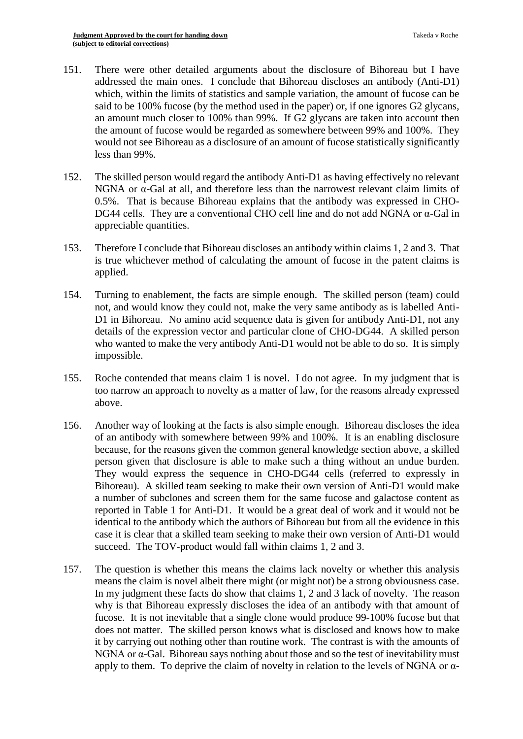- 151. There were other detailed arguments about the disclosure of Bihoreau but I have addressed the main ones. I conclude that Bihoreau discloses an antibody (Anti-D1) which, within the limits of statistics and sample variation, the amount of fucose can be said to be 100% fucose (by the method used in the paper) or, if one ignores G2 glycans, an amount much closer to 100% than 99%. If G2 glycans are taken into account then the amount of fucose would be regarded as somewhere between 99% and 100%. They would not see Bihoreau as a disclosure of an amount of fucose statistically significantly less than 99%.
- 152. The skilled person would regard the antibody Anti-D1 as having effectively no relevant NGNA or α-Gal at all, and therefore less than the narrowest relevant claim limits of 0.5%. That is because Bihoreau explains that the antibody was expressed in CHO-DG44 cells. They are a conventional CHO cell line and do not add NGNA or α-Gal in appreciable quantities.
- 153. Therefore I conclude that Bihoreau discloses an antibody within claims 1, 2 and 3. That is true whichever method of calculating the amount of fucose in the patent claims is applied.
- 154. Turning to enablement, the facts are simple enough. The skilled person (team) could not, and would know they could not, make the very same antibody as is labelled Anti-D1 in Bihoreau. No amino acid sequence data is given for antibody Anti-D1, not any details of the expression vector and particular clone of CHO-DG44. A skilled person who wanted to make the very antibody Anti-D1 would not be able to do so. It is simply impossible.
- 155. Roche contended that means claim 1 is novel. I do not agree. In my judgment that is too narrow an approach to novelty as a matter of law, for the reasons already expressed above.
- 156. Another way of looking at the facts is also simple enough. Bihoreau discloses the idea of an antibody with somewhere between 99% and 100%. It is an enabling disclosure because, for the reasons given the common general knowledge section above, a skilled person given that disclosure is able to make such a thing without an undue burden. They would express the sequence in CHO-DG44 cells (referred to expressly in Bihoreau). A skilled team seeking to make their own version of Anti-D1 would make a number of subclones and screen them for the same fucose and galactose content as reported in Table 1 for Anti-D1. It would be a great deal of work and it would not be identical to the antibody which the authors of Bihoreau but from all the evidence in this case it is clear that a skilled team seeking to make their own version of Anti-D1 would succeed. The TOV-product would fall within claims 1, 2 and 3.
- 157. The question is whether this means the claims lack novelty or whether this analysis means the claim is novel albeit there might (or might not) be a strong obviousness case. In my judgment these facts do show that claims 1, 2 and 3 lack of novelty. The reason why is that Bihoreau expressly discloses the idea of an antibody with that amount of fucose. It is not inevitable that a single clone would produce 99-100% fucose but that does not matter. The skilled person knows what is disclosed and knows how to make it by carrying out nothing other than routine work. The contrast is with the amounts of NGNA or α-Gal. Bihoreau says nothing about those and so the test of inevitability must apply to them. To deprive the claim of novelty in relation to the levels of NGNA or  $\alpha$ -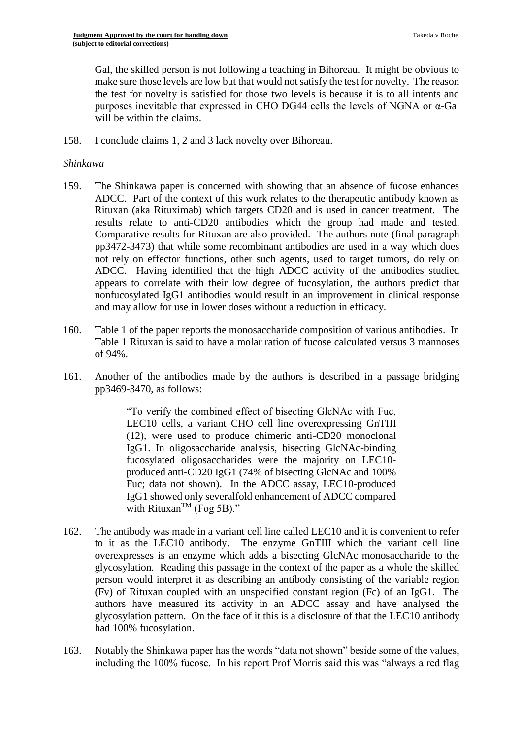Gal, the skilled person is not following a teaching in Bihoreau. It might be obvious to make sure those levels are low but that would not satisfy the test for novelty. The reason the test for novelty is satisfied for those two levels is because it is to all intents and purposes inevitable that expressed in CHO DG44 cells the levels of NGNA or α-Gal will be within the claims.

158. I conclude claims 1, 2 and 3 lack novelty over Bihoreau.

## *Shinkawa*

- 159. The Shinkawa paper is concerned with showing that an absence of fucose enhances ADCC. Part of the context of this work relates to the therapeutic antibody known as Rituxan (aka Rituximab) which targets CD20 and is used in cancer treatment. The results relate to anti-CD20 antibodies which the group had made and tested. Comparative results for Rituxan are also provided. The authors note (final paragraph pp3472-3473) that while some recombinant antibodies are used in a way which does not rely on effector functions, other such agents, used to target tumors, do rely on ADCC. Having identified that the high ADCC activity of the antibodies studied appears to correlate with their low degree of fucosylation, the authors predict that nonfucosylated IgG1 antibodies would result in an improvement in clinical response and may allow for use in lower doses without a reduction in efficacy.
- 160. Table 1 of the paper reports the monosaccharide composition of various antibodies. In Table 1 Rituxan is said to have a molar ration of fucose calculated versus 3 mannoses of 94%.
- 161. Another of the antibodies made by the authors is described in a passage bridging pp3469-3470, as follows:

"To verify the combined effect of bisecting GlcNAc with Fuc, LEC10 cells, a variant CHO cell line overexpressing GnTIII (12), were used to produce chimeric anti-CD20 monoclonal IgG1. In oligosaccharide analysis, bisecting GlcNAc-binding fucosylated oligosaccharides were the majority on LEC10 produced anti-CD20 IgG1 (74% of bisecting GlcNAc and 100% Fuc; data not shown). In the ADCC assay, LEC10-produced IgG1 showed only severalfold enhancement of ADCC compared with Rituxan<sup>TM</sup> (Fog 5B)."

- 162. The antibody was made in a variant cell line called LEC10 and it is convenient to refer to it as the LEC10 antibody. The enzyme GnTIII which the variant cell line overexpresses is an enzyme which adds a bisecting GlcNAc monosaccharide to the glycosylation. Reading this passage in the context of the paper as a whole the skilled person would interpret it as describing an antibody consisting of the variable region (Fv) of Rituxan coupled with an unspecified constant region (Fc) of an IgG1. The authors have measured its activity in an ADCC assay and have analysed the glycosylation pattern. On the face of it this is a disclosure of that the LEC10 antibody had 100% fucosylation.
- 163. Notably the Shinkawa paper has the words "data not shown" beside some of the values, including the 100% fucose. In his report Prof Morris said this was "always a red flag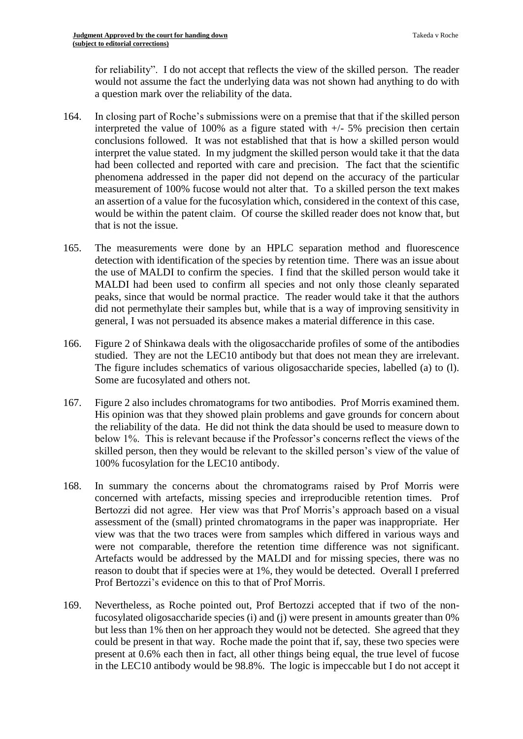for reliability". I do not accept that reflects the view of the skilled person. The reader would not assume the fact the underlying data was not shown had anything to do with a question mark over the reliability of the data.

- 164. In closing part of Roche's submissions were on a premise that that if the skilled person interpreted the value of 100% as a figure stated with +/- 5% precision then certain conclusions followed. It was not established that that is how a skilled person would interpret the value stated. In my judgment the skilled person would take it that the data had been collected and reported with care and precision. The fact that the scientific phenomena addressed in the paper did not depend on the accuracy of the particular measurement of 100% fucose would not alter that. To a skilled person the text makes an assertion of a value for the fucosylation which, considered in the context of this case, would be within the patent claim. Of course the skilled reader does not know that, but that is not the issue.
- 165. The measurements were done by an HPLC separation method and fluorescence detection with identification of the species by retention time. There was an issue about the use of MALDI to confirm the species. I find that the skilled person would take it MALDI had been used to confirm all species and not only those cleanly separated peaks, since that would be normal practice. The reader would take it that the authors did not permethylate their samples but, while that is a way of improving sensitivity in general, I was not persuaded its absence makes a material difference in this case.
- 166. Figure 2 of Shinkawa deals with the oligosaccharide profiles of some of the antibodies studied. They are not the LEC10 antibody but that does not mean they are irrelevant. The figure includes schematics of various oligosaccharide species, labelled (a) to (l). Some are fucosylated and others not.
- 167. Figure 2 also includes chromatograms for two antibodies. Prof Morris examined them. His opinion was that they showed plain problems and gave grounds for concern about the reliability of the data. He did not think the data should be used to measure down to below 1%. This is relevant because if the Professor's concerns reflect the views of the skilled person, then they would be relevant to the skilled person's view of the value of 100% fucosylation for the LEC10 antibody.
- 168. In summary the concerns about the chromatograms raised by Prof Morris were concerned with artefacts, missing species and irreproducible retention times. Prof Bertozzi did not agree. Her view was that Prof Morris's approach based on a visual assessment of the (small) printed chromatograms in the paper was inappropriate. Her view was that the two traces were from samples which differed in various ways and were not comparable, therefore the retention time difference was not significant. Artefacts would be addressed by the MALDI and for missing species, there was no reason to doubt that if species were at 1%, they would be detected. Overall I preferred Prof Bertozzi's evidence on this to that of Prof Morris.
- 169. Nevertheless, as Roche pointed out, Prof Bertozzi accepted that if two of the nonfucosylated oligosaccharide species (i) and (j) were present in amounts greater than 0% but less than 1% then on her approach they would not be detected. She agreed that they could be present in that way. Roche made the point that if, say, these two species were present at 0.6% each then in fact, all other things being equal, the true level of fucose in the LEC10 antibody would be 98.8%. The logic is impeccable but I do not accept it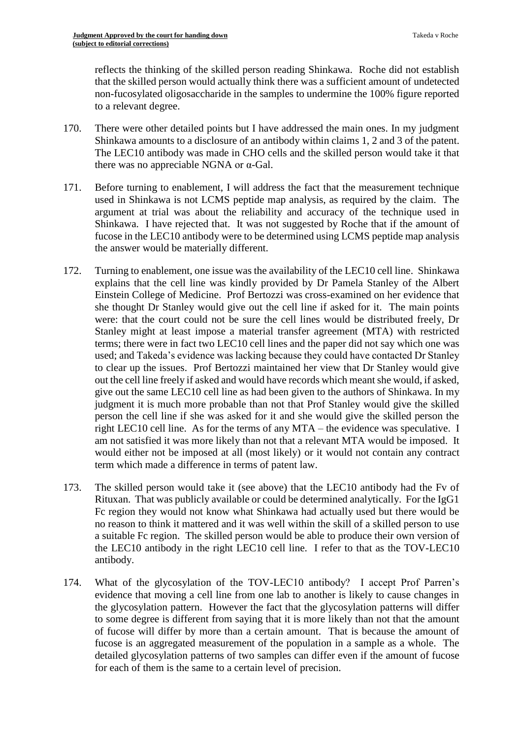reflects the thinking of the skilled person reading Shinkawa. Roche did not establish that the skilled person would actually think there was a sufficient amount of undetected non-fucosylated oligosaccharide in the samples to undermine the 100% figure reported to a relevant degree.

- 170. There were other detailed points but I have addressed the main ones. In my judgment Shinkawa amounts to a disclosure of an antibody within claims 1, 2 and 3 of the patent. The LEC10 antibody was made in CHO cells and the skilled person would take it that there was no appreciable NGNA or α-Gal.
- 171. Before turning to enablement, I will address the fact that the measurement technique used in Shinkawa is not LCMS peptide map analysis, as required by the claim. The argument at trial was about the reliability and accuracy of the technique used in Shinkawa. I have rejected that. It was not suggested by Roche that if the amount of fucose in the LEC10 antibody were to be determined using LCMS peptide map analysis the answer would be materially different.
- 172. Turning to enablement, one issue was the availability of the LEC10 cell line. Shinkawa explains that the cell line was kindly provided by Dr Pamela Stanley of the Albert Einstein College of Medicine. Prof Bertozzi was cross-examined on her evidence that she thought Dr Stanley would give out the cell line if asked for it. The main points were: that the court could not be sure the cell lines would be distributed freely, Dr Stanley might at least impose a material transfer agreement (MTA) with restricted terms; there were in fact two LEC10 cell lines and the paper did not say which one was used; and Takeda's evidence was lacking because they could have contacted Dr Stanley to clear up the issues. Prof Bertozzi maintained her view that Dr Stanley would give out the cell line freely if asked and would have records which meant she would, if asked, give out the same LEC10 cell line as had been given to the authors of Shinkawa. In my judgment it is much more probable than not that Prof Stanley would give the skilled person the cell line if she was asked for it and she would give the skilled person the right LEC10 cell line. As for the terms of any MTA – the evidence was speculative. I am not satisfied it was more likely than not that a relevant MTA would be imposed. It would either not be imposed at all (most likely) or it would not contain any contract term which made a difference in terms of patent law.
- 173. The skilled person would take it (see above) that the LEC10 antibody had the Fv of Rituxan. That was publicly available or could be determined analytically. For the IgG1 Fc region they would not know what Shinkawa had actually used but there would be no reason to think it mattered and it was well within the skill of a skilled person to use a suitable Fc region. The skilled person would be able to produce their own version of the LEC10 antibody in the right LEC10 cell line. I refer to that as the TOV-LEC10 antibody.
- 174. What of the glycosylation of the TOV-LEC10 antibody? I accept Prof Parren's evidence that moving a cell line from one lab to another is likely to cause changes in the glycosylation pattern. However the fact that the glycosylation patterns will differ to some degree is different from saying that it is more likely than not that the amount of fucose will differ by more than a certain amount. That is because the amount of fucose is an aggregated measurement of the population in a sample as a whole. The detailed glycosylation patterns of two samples can differ even if the amount of fucose for each of them is the same to a certain level of precision.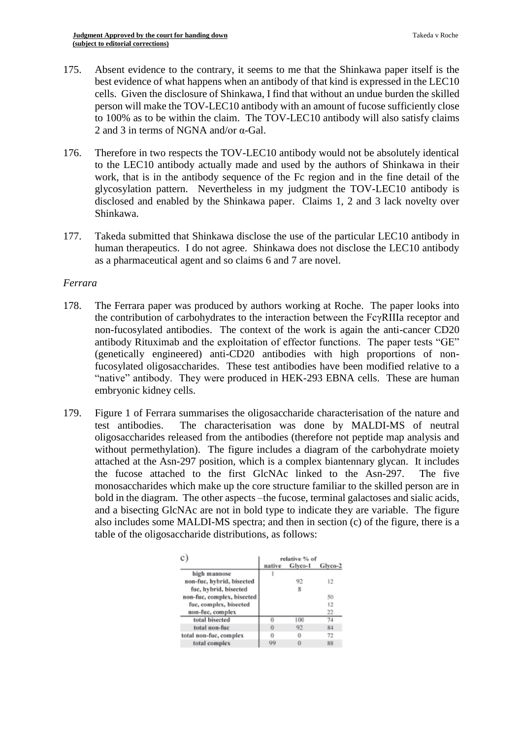- 175. Absent evidence to the contrary, it seems to me that the Shinkawa paper itself is the best evidence of what happens when an antibody of that kind is expressed in the LEC10 cells. Given the disclosure of Shinkawa, I find that without an undue burden the skilled person will make the TOV-LEC10 antibody with an amount of fucose sufficiently close to 100% as to be within the claim. The TOV-LEC10 antibody will also satisfy claims 2 and 3 in terms of NGNA and/or α-Gal.
- 176. Therefore in two respects the TOV-LEC10 antibody would not be absolutely identical to the LEC10 antibody actually made and used by the authors of Shinkawa in their work, that is in the antibody sequence of the Fc region and in the fine detail of the glycosylation pattern. Nevertheless in my judgment the TOV-LEC10 antibody is disclosed and enabled by the Shinkawa paper. Claims 1, 2 and 3 lack novelty over Shinkawa.
- 177. Takeda submitted that Shinkawa disclose the use of the particular LEC10 antibody in human therapeutics. I do not agree. Shinkawa does not disclose the LEC10 antibody as a pharmaceutical agent and so claims 6 and 7 are novel.

## *Ferrara*

- 178. The Ferrara paper was produced by authors working at Roche. The paper looks into the contribution of carbohydrates to the interaction between the FcγRIIIa receptor and non-fucosylated antibodies. The context of the work is again the anti-cancer CD20 antibody Rituximab and the exploitation of effector functions. The paper tests "GE" (genetically engineered) anti-CD20 antibodies with high proportions of nonfucosylated oligosaccharides. These test antibodies have been modified relative to a "native" antibody. They were produced in HEK-293 EBNA cells. These are human embryonic kidney cells.
- 179. Figure 1 of Ferrara summarises the oligosaccharide characterisation of the nature and test antibodies. The characterisation was done by MALDI-MS of neutral oligosaccharides released from the antibodies (therefore not peptide map analysis and without permethylation). The figure includes a diagram of the carbohydrate moiety attached at the Asn-297 position, which is a complex biantennary glycan. It includes the fucose attached to the first GlcNAc linked to the Asn-297. The five monosaccharides which make up the core structure familiar to the skilled person are in bold in the diagram. The other aspects –the fucose, terminal galactoses and sialic acids, and a bisecting GlcNAc are not in bold type to indicate they are variable. The figure also includes some MALDI-MS spectra; and then in section (c) of the figure, there is a table of the oligosaccharide distributions, as follows:

|                            | relative % of |          |         |  |
|----------------------------|---------------|----------|---------|--|
|                            | native        | Glyco-1  | Glyco-2 |  |
| high mannose               |               |          |         |  |
| non-fuc, hybrid, bisected  |               | 92       | 12      |  |
| fuc, hybrid, bisected      |               | 8        |         |  |
| non-fuc, complex, bisected |               |          | 50      |  |
| fuc, complex, bisected     |               |          | 12      |  |
| non-fuc, complex           |               |          | 22      |  |
| total bisected             | 0             | 100      | 74      |  |
| total non-fue              | 0             | 92       | 84      |  |
| total non-fuc, complex     | 0             | $\theta$ | 72      |  |
| total complex              | 99            |          | 88      |  |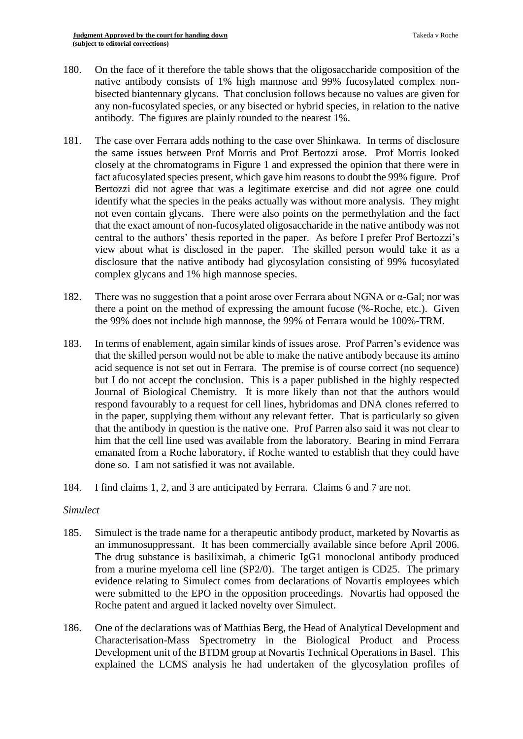- 180. On the face of it therefore the table shows that the oligosaccharide composition of the native antibody consists of 1% high mannose and 99% fucosylated complex nonbisected biantennary glycans. That conclusion follows because no values are given for any non-fucosylated species, or any bisected or hybrid species, in relation to the native antibody. The figures are plainly rounded to the nearest 1%.
- 181. The case over Ferrara adds nothing to the case over Shinkawa. In terms of disclosure the same issues between Prof Morris and Prof Bertozzi arose. Prof Morris looked closely at the chromatograms in Figure 1 and expressed the opinion that there were in fact afucosylated species present, which gave him reasons to doubt the 99% figure. Prof Bertozzi did not agree that was a legitimate exercise and did not agree one could identify what the species in the peaks actually was without more analysis. They might not even contain glycans. There were also points on the permethylation and the fact that the exact amount of non-fucosylated oligosaccharide in the native antibody was not central to the authors' thesis reported in the paper. As before I prefer Prof Bertozzi's view about what is disclosed in the paper. The skilled person would take it as a disclosure that the native antibody had glycosylation consisting of 99% fucosylated complex glycans and 1% high mannose species.
- 182. There was no suggestion that a point arose over Ferrara about NGNA or  $\alpha$ -Gal; nor was there a point on the method of expressing the amount fucose (%-Roche, etc.). Given the 99% does not include high mannose, the 99% of Ferrara would be 100%-TRM.
- 183. In terms of enablement, again similar kinds of issues arose. Prof Parren's evidence was that the skilled person would not be able to make the native antibody because its amino acid sequence is not set out in Ferrara. The premise is of course correct (no sequence) but I do not accept the conclusion. This is a paper published in the highly respected Journal of Biological Chemistry. It is more likely than not that the authors would respond favourably to a request for cell lines, hybridomas and DNA clones referred to in the paper, supplying them without any relevant fetter. That is particularly so given that the antibody in question is the native one. Prof Parren also said it was not clear to him that the cell line used was available from the laboratory. Bearing in mind Ferrara emanated from a Roche laboratory, if Roche wanted to establish that they could have done so. I am not satisfied it was not available.
- 184. I find claims 1, 2, and 3 are anticipated by Ferrara. Claims 6 and 7 are not.

#### *Simulect*

- 185. Simulect is the trade name for a therapeutic antibody product, marketed by Novartis as an immunosuppressant. It has been commercially available since before April 2006. The drug substance is basiliximab, a chimeric IgG1 monoclonal antibody produced from a murine myeloma cell line (SP2/0). The target antigen is CD25. The primary evidence relating to Simulect comes from declarations of Novartis employees which were submitted to the EPO in the opposition proceedings. Novartis had opposed the Roche patent and argued it lacked novelty over Simulect.
- 186. One of the declarations was of Matthias Berg, the Head of Analytical Development and Characterisation-Mass Spectrometry in the Biological Product and Process Development unit of the BTDM group at Novartis Technical Operations in Basel. This explained the LCMS analysis he had undertaken of the glycosylation profiles of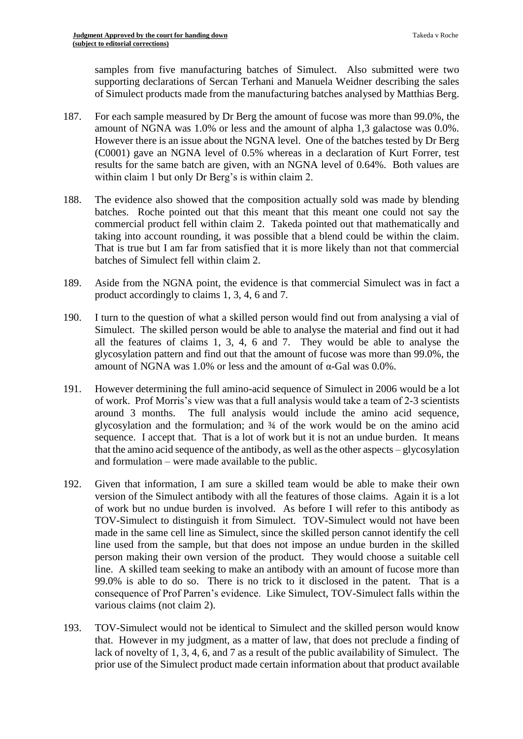samples from five manufacturing batches of Simulect. Also submitted were two supporting declarations of Sercan Terhani and Manuela Weidner describing the sales of Simulect products made from the manufacturing batches analysed by Matthias Berg.

- 187. For each sample measured by Dr Berg the amount of fucose was more than 99.0%, the amount of NGNA was 1.0% or less and the amount of alpha 1,3 galactose was 0.0%. However there is an issue about the NGNA level. One of the batches tested by Dr Berg (C0001) gave an NGNA level of 0.5% whereas in a declaration of Kurt Forrer, test results for the same batch are given, with an NGNA level of 0.64%. Both values are within claim 1 but only Dr Berg's is within claim 2.
- 188. The evidence also showed that the composition actually sold was made by blending batches. Roche pointed out that this meant that this meant one could not say the commercial product fell within claim 2. Takeda pointed out that mathematically and taking into account rounding, it was possible that a blend could be within the claim. That is true but I am far from satisfied that it is more likely than not that commercial batches of Simulect fell within claim 2.
- 189. Aside from the NGNA point, the evidence is that commercial Simulect was in fact a product accordingly to claims 1, 3, 4, 6 and 7.
- 190. I turn to the question of what a skilled person would find out from analysing a vial of Simulect. The skilled person would be able to analyse the material and find out it had all the features of claims 1, 3, 4, 6 and 7. They would be able to analyse the glycosylation pattern and find out that the amount of fucose was more than 99.0%, the amount of NGNA was 1.0% or less and the amount of α-Gal was 0.0%.
- 191. However determining the full amino-acid sequence of Simulect in 2006 would be a lot of work. Prof Morris's view was that a full analysis would take a team of 2-3 scientists around 3 months. The full analysis would include the amino acid sequence, glycosylation and the formulation; and ¾ of the work would be on the amino acid sequence. I accept that. That is a lot of work but it is not an undue burden. It means that the amino acid sequence of the antibody, as well as the other aspects – glycosylation and formulation – were made available to the public.
- 192. Given that information, I am sure a skilled team would be able to make their own version of the Simulect antibody with all the features of those claims. Again it is a lot of work but no undue burden is involved. As before I will refer to this antibody as TOV-Simulect to distinguish it from Simulect. TOV-Simulect would not have been made in the same cell line as Simulect, since the skilled person cannot identify the cell line used from the sample, but that does not impose an undue burden in the skilled person making their own version of the product. They would choose a suitable cell line. A skilled team seeking to make an antibody with an amount of fucose more than 99.0% is able to do so. There is no trick to it disclosed in the patent. That is a consequence of Prof Parren's evidence. Like Simulect, TOV-Simulect falls within the various claims (not claim 2).
- 193. TOV-Simulect would not be identical to Simulect and the skilled person would know that. However in my judgment, as a matter of law, that does not preclude a finding of lack of novelty of 1, 3, 4, 6, and 7 as a result of the public availability of Simulect. The prior use of the Simulect product made certain information about that product available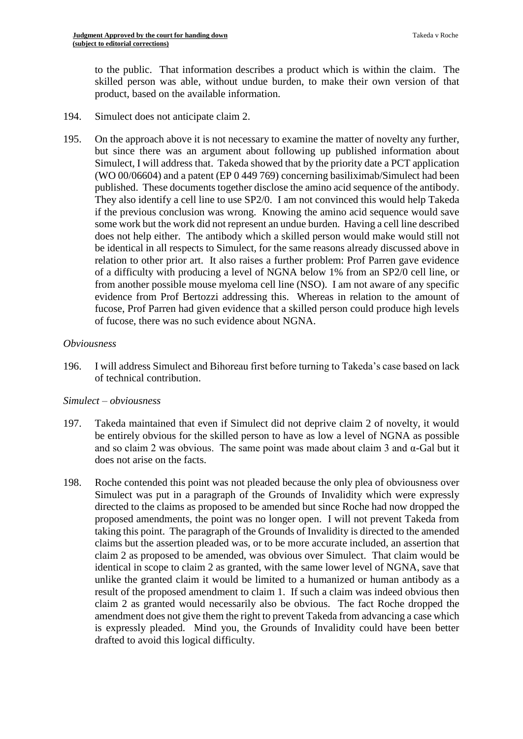to the public. That information describes a product which is within the claim. The skilled person was able, without undue burden, to make their own version of that product, based on the available information.

- 194. Simulect does not anticipate claim 2.
- 195. On the approach above it is not necessary to examine the matter of novelty any further, but since there was an argument about following up published information about Simulect, I will address that. Takeda showed that by the priority date a PCT application (WO 00/06604) and a patent (EP 0 449 769) concerning basiliximab/Simulect had been published. These documents together disclose the amino acid sequence of the antibody. They also identify a cell line to use SP2/0. I am not convinced this would help Takeda if the previous conclusion was wrong. Knowing the amino acid sequence would save some work but the work did not represent an undue burden. Having a cell line described does not help either. The antibody which a skilled person would make would still not be identical in all respects to Simulect, for the same reasons already discussed above in relation to other prior art. It also raises a further problem: Prof Parren gave evidence of a difficulty with producing a level of NGNA below 1% from an SP2/0 cell line, or from another possible mouse myeloma cell line (NSO). I am not aware of any specific evidence from Prof Bertozzi addressing this. Whereas in relation to the amount of fucose, Prof Parren had given evidence that a skilled person could produce high levels of fucose, there was no such evidence about NGNA.

#### *Obviousness*

196. I will address Simulect and Bihoreau first before turning to Takeda's case based on lack of technical contribution.

#### *Simulect – obviousness*

- 197. Takeda maintained that even if Simulect did not deprive claim 2 of novelty, it would be entirely obvious for the skilled person to have as low a level of NGNA as possible and so claim 2 was obvious. The same point was made about claim 3 and  $\alpha$ -Gal but it does not arise on the facts.
- 198. Roche contended this point was not pleaded because the only plea of obviousness over Simulect was put in a paragraph of the Grounds of Invalidity which were expressly directed to the claims as proposed to be amended but since Roche had now dropped the proposed amendments, the point was no longer open. I will not prevent Takeda from taking this point. The paragraph of the Grounds of Invalidity is directed to the amended claims but the assertion pleaded was, or to be more accurate included, an assertion that claim 2 as proposed to be amended, was obvious over Simulect. That claim would be identical in scope to claim 2 as granted, with the same lower level of NGNA, save that unlike the granted claim it would be limited to a humanized or human antibody as a result of the proposed amendment to claim 1. If such a claim was indeed obvious then claim 2 as granted would necessarily also be obvious. The fact Roche dropped the amendment does not give them the right to prevent Takeda from advancing a case which is expressly pleaded. Mind you, the Grounds of Invalidity could have been better drafted to avoid this logical difficulty.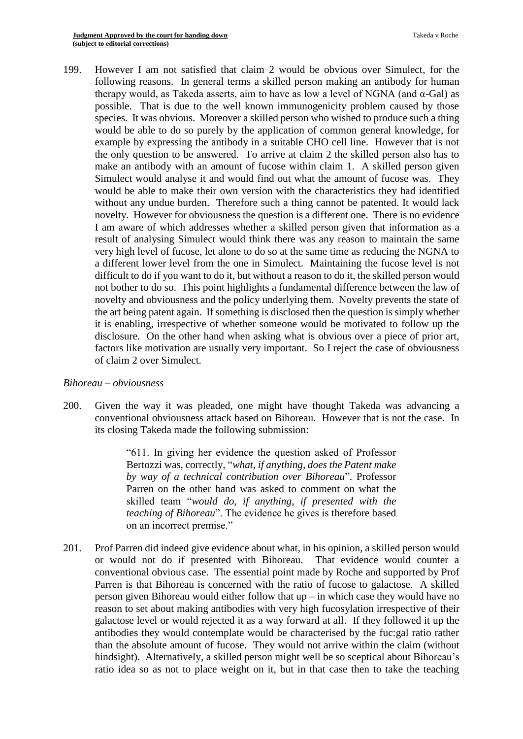199. However I am not satisfied that claim 2 would be obvious over Simulect, for the following reasons. In general terms a skilled person making an antibody for human therapy would, as Takeda asserts, aim to have as low a level of NGNA (and  $\alpha$ -Gal) as possible. That is due to the well known immunogenicity problem caused by those species. It was obvious. Moreover a skilled person who wished to produce such a thing would be able to do so purely by the application of common general knowledge, for example by expressing the antibody in a suitable CHO cell line. However that is not the only question to be answered. To arrive at claim 2 the skilled person also has to make an antibody with an amount of fucose within claim 1. A skilled person given Simulect would analyse it and would find out what the amount of fucose was. They would be able to make their own version with the characteristics they had identified without any undue burden. Therefore such a thing cannot be patented. It would lack novelty. However for obviousness the question is a different one. There is no evidence I am aware of which addresses whether a skilled person given that information as a result of analysing Simulect would think there was any reason to maintain the same very high level of fucose, let alone to do so at the same time as reducing the NGNA to a different lower level from the one in Simulect. Maintaining the fucose level is not difficult to do if you want to do it, but without a reason to do it, the skilled person would not bother to do so. This point highlights a fundamental difference between the law of novelty and obviousness and the policy underlying them. Novelty prevents the state of the art being patent again. If something is disclosed then the question is simply whether it is enabling, irrespective of whether someone would be motivated to follow up the disclosure. On the other hand when asking what is obvious over a piece of prior art, factors like motivation are usually very important. So I reject the case of obviousness of claim 2 over Simulect.

#### *Bihoreau – obviousness*

200. Given the way it was pleaded, one might have thought Takeda was advancing a conventional obviousness attack based on Bihoreau. However that is not the case. In its closing Takeda made the following submission:

> "611. In giving her evidence the question asked of Professor Bertozzi was, correctly, "*what, if anything, does the Patent make by way of a technical contribution over Bihoreau*". Professor Parren on the other hand was asked to comment on what the skilled team "*would do, if anything, if presented with the teaching of Bihoreau*". The evidence he gives is therefore based on an incorrect premise."

201. Prof Parren did indeed give evidence about what, in his opinion, a skilled person would or would not do if presented with Bihoreau. That evidence would counter a conventional obvious case. The essential point made by Roche and supported by Prof Parren is that Bihoreau is concerned with the ratio of fucose to galactose. A skilled person given Bihoreau would either follow that up – in which case they would have no reason to set about making antibodies with very high fucosylation irrespective of their galactose level or would rejected it as a way forward at all. If they followed it up the antibodies they would contemplate would be characterised by the fuc:gal ratio rather than the absolute amount of fucose. They would not arrive within the claim (without hindsight). Alternatively, a skilled person might well be so sceptical about Bihoreau's ratio idea so as not to place weight on it, but in that case then to take the teaching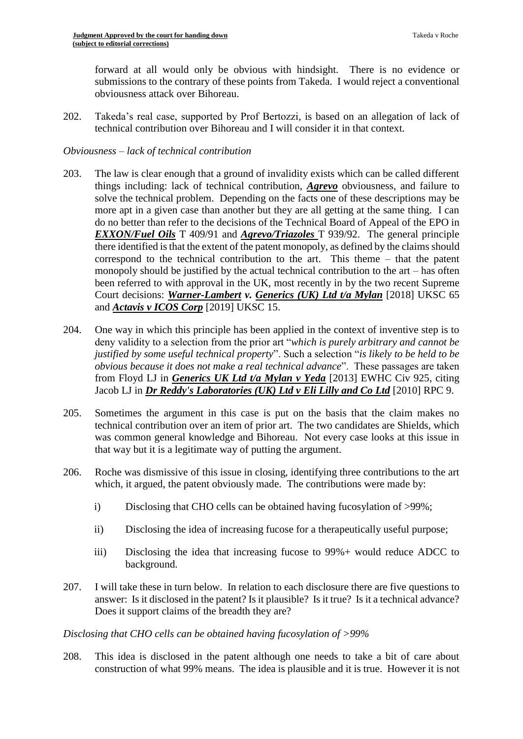forward at all would only be obvious with hindsight. There is no evidence or submissions to the contrary of these points from Takeda. I would reject a conventional obviousness attack over Bihoreau.

202. Takeda's real case, supported by Prof Bertozzi, is based on an allegation of lack of technical contribution over Bihoreau and I will consider it in that context.

# *Obviousness – lack of technical contribution*

- 203. The law is clear enough that a ground of invalidity exists which can be called different things including: lack of technical contribution, *Agrevo* obviousness, and failure to solve the technical problem. Depending on the facts one of these descriptions may be more apt in a given case than another but they are all getting at the same thing. I can do no better than refer to the decisions of the Technical Board of Appeal of the EPO in *EXXON/Fuel Oils* T 409/91 and *Agrevo/Triazoles* T 939/92. The general principle there identified is that the extent of the patent monopoly, as defined by the claims should correspond to the technical contribution to the art. This theme – that the patent monopoly should be justified by the actual technical contribution to the art – has often been referred to with approval in the UK, most recently in by the two recent Supreme Court decisions: *Warner-Lambert v. Generics (UK) Ltd t/a Mylan* [2018] UKSC 65 and *Actavis v ICOS Corp* [2019] UKSC 15.
- 204. One way in which this principle has been applied in the context of inventive step is to deny validity to a selection from the prior art "*which is purely arbitrary and cannot be justified by some useful technical property*". Such a selection "*is likely to be held to be obvious because it does not make a real technical advance*". These passages are taken from Floyd LJ in *Generics UK Ltd t/a Mylan v Yeda* [2013] EWHC Civ 925, citing Jacob LJ in *Dr Reddy's Laboratories (UK) Ltd v Eli Lilly and Co Ltd* [\[2010\] RPC 9.](https://www.bailii.org/cgi-bin/redirect.cgi?path=/ew/cases/EWCA/Civ/2009/1362.html)
- 205. Sometimes the argument in this case is put on the basis that the claim makes no technical contribution over an item of prior art. The two candidates are Shields, which was common general knowledge and Bihoreau. Not every case looks at this issue in that way but it is a legitimate way of putting the argument.
- 206. Roche was dismissive of this issue in closing, identifying three contributions to the art which, it argued, the patent obviously made. The contributions were made by:
	- i) Disclosing that CHO cells can be obtained having fucosylation of >99%;
	- ii) Disclosing the idea of increasing fucose for a therapeutically useful purpose;
	- iii) Disclosing the idea that increasing fucose to 99%+ would reduce ADCC to background.
- 207. I will take these in turn below. In relation to each disclosure there are five questions to answer: Is it disclosed in the patent? Is it plausible? Is it true? Is it a technical advance? Does it support claims of the breadth they are?

# *Disclosing that CHO cells can be obtained having fucosylation of >99%*

208. This idea is disclosed in the patent although one needs to take a bit of care about construction of what 99% means. The idea is plausible and it is true. However it is not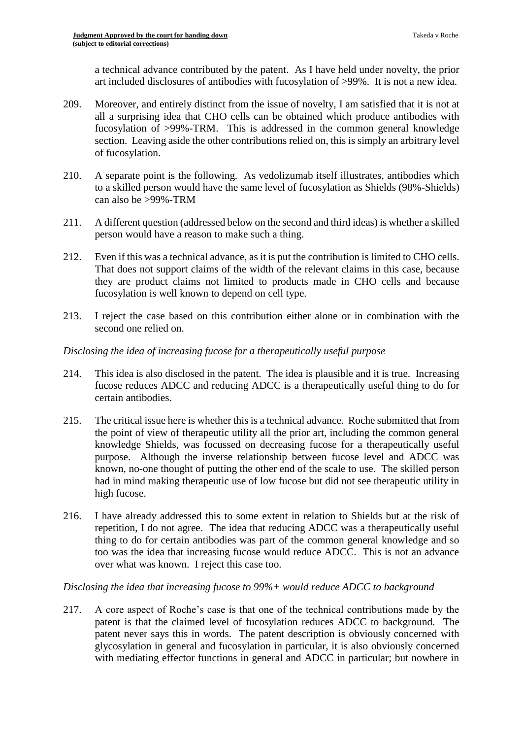a technical advance contributed by the patent. As I have held under novelty, the prior art included disclosures of antibodies with fucosylation of >99%. It is not a new idea.

- 209. Moreover, and entirely distinct from the issue of novelty, I am satisfied that it is not at all a surprising idea that CHO cells can be obtained which produce antibodies with fucosylation of >99%-TRM. This is addressed in the common general knowledge section. Leaving aside the other contributions relied on, this is simply an arbitrary level of fucosylation.
- 210. A separate point is the following. As vedolizumab itself illustrates, antibodies which to a skilled person would have the same level of fucosylation as Shields (98%-Shields) can also be >99%-TRM
- 211. A different question (addressed below on the second and third ideas) is whether a skilled person would have a reason to make such a thing.
- 212. Even if this was a technical advance, as it is put the contribution is limited to CHO cells. That does not support claims of the width of the relevant claims in this case, because they are product claims not limited to products made in CHO cells and because fucosylation is well known to depend on cell type.
- 213. I reject the case based on this contribution either alone or in combination with the second one relied on.

## *Disclosing the idea of increasing fucose for a therapeutically useful purpose*

- 214. This idea is also disclosed in the patent. The idea is plausible and it is true. Increasing fucose reduces ADCC and reducing ADCC is a therapeutically useful thing to do for certain antibodies.
- 215. The critical issue here is whether this is a technical advance. Roche submitted that from the point of view of therapeutic utility all the prior art, including the common general knowledge Shields, was focussed on decreasing fucose for a therapeutically useful purpose. Although the inverse relationship between fucose level and ADCC was known, no-one thought of putting the other end of the scale to use. The skilled person had in mind making therapeutic use of low fucose but did not see therapeutic utility in high fucose.
- 216. I have already addressed this to some extent in relation to Shields but at the risk of repetition, I do not agree. The idea that reducing ADCC was a therapeutically useful thing to do for certain antibodies was part of the common general knowledge and so too was the idea that increasing fucose would reduce ADCC. This is not an advance over what was known. I reject this case too.

#### *Disclosing the idea that increasing fucose to 99%+ would reduce ADCC to background*

217. A core aspect of Roche's case is that one of the technical contributions made by the patent is that the claimed level of fucosylation reduces ADCC to background. The patent never says this in words. The patent description is obviously concerned with glycosylation in general and fucosylation in particular, it is also obviously concerned with mediating effector functions in general and ADCC in particular; but nowhere in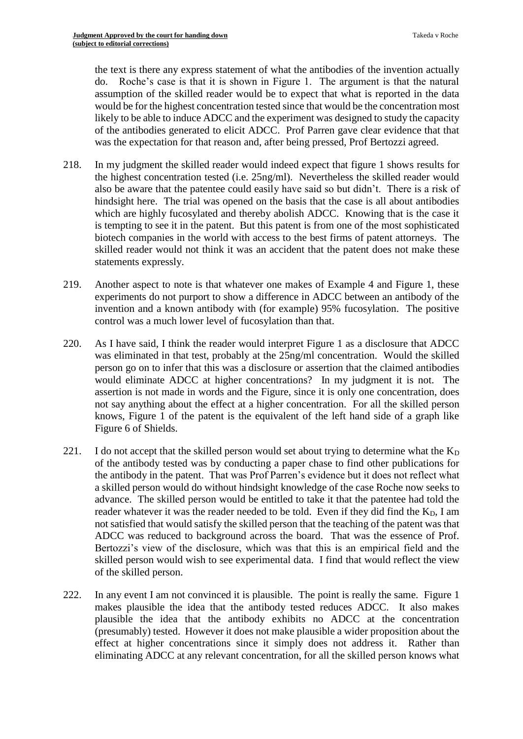the text is there any express statement of what the antibodies of the invention actually do. Roche's case is that it is shown in Figure 1. The argument is that the natural assumption of the skilled reader would be to expect that what is reported in the data would be for the highest concentration tested since that would be the concentration most likely to be able to induce ADCC and the experiment was designed to study the capacity of the antibodies generated to elicit ADCC. Prof Parren gave clear evidence that that was the expectation for that reason and, after being pressed, Prof Bertozzi agreed.

- 218. In my judgment the skilled reader would indeed expect that figure 1 shows results for the highest concentration tested (i.e. 25ng/ml). Nevertheless the skilled reader would also be aware that the patentee could easily have said so but didn't. There is a risk of hindsight here. The trial was opened on the basis that the case is all about antibodies which are highly fucosylated and thereby abolish ADCC. Knowing that is the case it is tempting to see it in the patent. But this patent is from one of the most sophisticated biotech companies in the world with access to the best firms of patent attorneys. The skilled reader would not think it was an accident that the patent does not make these statements expressly.
- 219. Another aspect to note is that whatever one makes of Example 4 and Figure 1, these experiments do not purport to show a difference in ADCC between an antibody of the invention and a known antibody with (for example) 95% fucosylation. The positive control was a much lower level of fucosylation than that.
- 220. As I have said, I think the reader would interpret Figure 1 as a disclosure that ADCC was eliminated in that test, probably at the 25ng/ml concentration. Would the skilled person go on to infer that this was a disclosure or assertion that the claimed antibodies would eliminate ADCC at higher concentrations? In my judgment it is not. The assertion is not made in words and the Figure, since it is only one concentration, does not say anything about the effect at a higher concentration. For all the skilled person knows, Figure 1 of the patent is the equivalent of the left hand side of a graph like Figure 6 of Shields.
- 221. I do not accept that the skilled person would set about trying to determine what the  $K_D$ of the antibody tested was by conducting a paper chase to find other publications for the antibody in the patent. That was Prof Parren's evidence but it does not reflect what a skilled person would do without hindsight knowledge of the case Roche now seeks to advance. The skilled person would be entitled to take it that the patentee had told the reader whatever it was the reader needed to be told. Even if they did find the K<sub>D</sub>, I am not satisfied that would satisfy the skilled person that the teaching of the patent was that ADCC was reduced to background across the board. That was the essence of Prof. Bertozzi's view of the disclosure, which was that this is an empirical field and the skilled person would wish to see experimental data. I find that would reflect the view of the skilled person.
- 222. In any event I am not convinced it is plausible. The point is really the same. Figure 1 makes plausible the idea that the antibody tested reduces ADCC. It also makes plausible the idea that the antibody exhibits no ADCC at the concentration (presumably) tested. However it does not make plausible a wider proposition about the effect at higher concentrations since it simply does not address it. Rather than eliminating ADCC at any relevant concentration, for all the skilled person knows what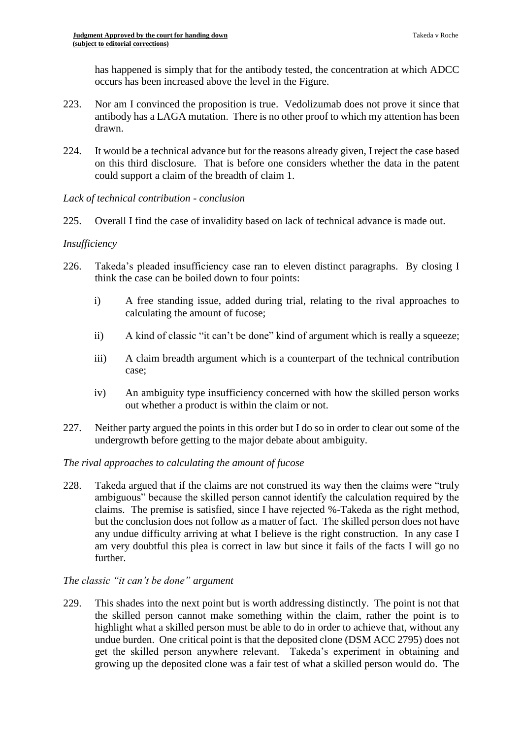has happened is simply that for the antibody tested, the concentration at which ADCC occurs has been increased above the level in the Figure.

- 223. Nor am I convinced the proposition is true. Vedolizumab does not prove it since that antibody has a LAGA mutation. There is no other proof to which my attention has been drawn.
- 224. It would be a technical advance but for the reasons already given, I reject the case based on this third disclosure. That is before one considers whether the data in the patent could support a claim of the breadth of claim 1.

## *Lack of technical contribution - conclusion*

225. Overall I find the case of invalidity based on lack of technical advance is made out.

## *Insufficiency*

- 226. Takeda's pleaded insufficiency case ran to eleven distinct paragraphs. By closing I think the case can be boiled down to four points:
	- i) A free standing issue, added during trial, relating to the rival approaches to calculating the amount of fucose;
	- ii) A kind of classic "it can't be done" kind of argument which is really a squeeze;
	- iii) A claim breadth argument which is a counterpart of the technical contribution case;
	- iv) An ambiguity type insufficiency concerned with how the skilled person works out whether a product is within the claim or not.
- 227. Neither party argued the points in this order but I do so in order to clear out some of the undergrowth before getting to the major debate about ambiguity.

# *The rival approaches to calculating the amount of fucose*

228. Takeda argued that if the claims are not construed its way then the claims were "truly ambiguous" because the skilled person cannot identify the calculation required by the claims. The premise is satisfied, since I have rejected %-Takeda as the right method, but the conclusion does not follow as a matter of fact. The skilled person does not have any undue difficulty arriving at what I believe is the right construction. In any case I am very doubtful this plea is correct in law but since it fails of the facts I will go no further.

# *The classic "it can't be done" argument*

229. This shades into the next point but is worth addressing distinctly. The point is not that the skilled person cannot make something within the claim, rather the point is to highlight what a skilled person must be able to do in order to achieve that, without any undue burden. One critical point is that the deposited clone (DSM ACC 2795) does not get the skilled person anywhere relevant. Takeda's experiment in obtaining and growing up the deposited clone was a fair test of what a skilled person would do. The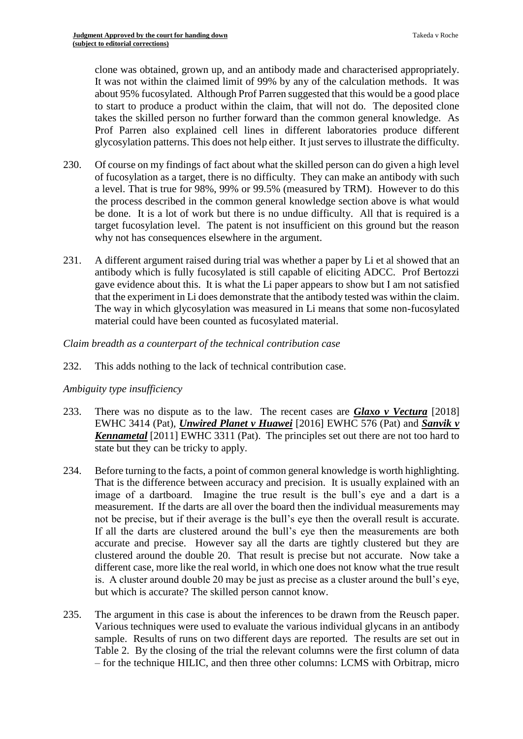clone was obtained, grown up, and an antibody made and characterised appropriately. It was not within the claimed limit of 99% by any of the calculation methods. It was about 95% fucosylated. Although Prof Parren suggested that this would be a good place to start to produce a product within the claim, that will not do. The deposited clone takes the skilled person no further forward than the common general knowledge. As Prof Parren also explained cell lines in different laboratories produce different glycosylation patterns. This does not help either. It just serves to illustrate the difficulty.

- 230. Of course on my findings of fact about what the skilled person can do given a high level of fucosylation as a target, there is no difficulty. They can make an antibody with such a level. That is true for 98%, 99% or 99.5% (measured by TRM). However to do this the process described in the common general knowledge section above is what would be done. It is a lot of work but there is no undue difficulty. All that is required is a target fucosylation level. The patent is not insufficient on this ground but the reason why not has consequences elsewhere in the argument.
- 231. A different argument raised during trial was whether a paper by Li et al showed that an antibody which is fully fucosylated is still capable of eliciting ADCC. Prof Bertozzi gave evidence about this. It is what the Li paper appears to show but I am not satisfied that the experiment in Li does demonstrate that the antibody tested was within the claim. The way in which glycosylation was measured in Li means that some non-fucosylated material could have been counted as fucosylated material.

## *Claim breadth as a counterpart of the technical contribution case*

232. This adds nothing to the lack of technical contribution case.

# *Ambiguity type insufficiency*

- 233. There was no dispute as to the law. The recent cases are *Glaxo v Vectura* [2018] EWHC 3414 (Pat), *Unwired Planet v Huawei* [2016] EWHC 576 (Pat) and *Sanvik v Kennametal* [2011] EWHC 3311 (Pat). The principles set out there are not too hard to state but they can be tricky to apply.
- 234. Before turning to the facts, a point of common general knowledge is worth highlighting. That is the difference between accuracy and precision. It is usually explained with an image of a dartboard. Imagine the true result is the bull's eye and a dart is a measurement. If the darts are all over the board then the individual measurements may not be precise, but if their average is the bull's eye then the overall result is accurate. If all the darts are clustered around the bull's eye then the measurements are both accurate and precise. However say all the darts are tightly clustered but they are clustered around the double 20. That result is precise but not accurate. Now take a different case, more like the real world, in which one does not know what the true result is. A cluster around double 20 may be just as precise as a cluster around the bull's eye, but which is accurate? The skilled person cannot know.
- 235. The argument in this case is about the inferences to be drawn from the Reusch paper. Various techniques were used to evaluate the various individual glycans in an antibody sample. Results of runs on two different days are reported. The results are set out in Table 2. By the closing of the trial the relevant columns were the first column of data – for the technique HILIC, and then three other columns: LCMS with Orbitrap, micro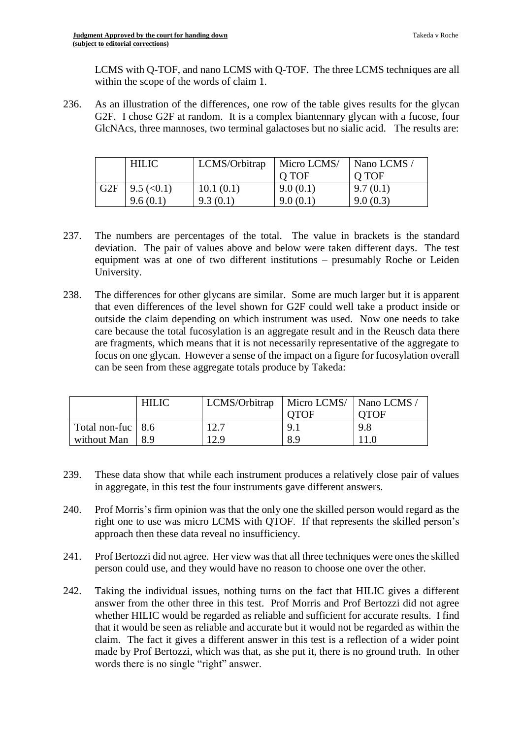LCMS with Q-TOF, and nano LCMS with Q-TOF. The three LCMS techniques are all within the scope of the words of claim 1.

236. As an illustration of the differences, one row of the table gives results for the glycan G2F. I chose G2F at random. It is a complex biantennary glycan with a fucose, four GlcNAcs, three mannoses, two terminal galactoses but no sialic acid. The results are:

|     | <b>HILIC</b>        | LCMS/Orbitrap | Micro LCMS/ | Nano LCMS / |
|-----|---------------------|---------------|-------------|-------------|
|     |                     |               | O TOF       | O TOF       |
| G2F | $\vert$ 9.5 (< 0.1) | 10.1(0.1)     | 9.0(0.1)    | 9.7(0.1)    |
|     | 9.6(0.1)            | 9.3(0.1)      | 9.0(0.1)    | 9.0(0.3)    |

- 237. The numbers are percentages of the total. The value in brackets is the standard deviation. The pair of values above and below were taken different days. The test equipment was at one of two different institutions – presumably Roche or Leiden University.
- 238. The differences for other glycans are similar. Some are much larger but it is apparent that even differences of the level shown for G2F could well take a product inside or outside the claim depending on which instrument was used. Now one needs to take care because the total fucosylation is an aggregate result and in the Reusch data there are fragments, which means that it is not necessarily representative of the aggregate to focus on one glycan. However a sense of the impact on a figure for fucosylation overall can be seen from these aggregate totals produce by Takeda:

|                     | <b>HILIC</b> | LCMS/Orbitrap | Micro LCMS/   Nano LCMS |      |
|---------------------|--------------|---------------|-------------------------|------|
|                     |              |               | OTOF                    | OTOF |
| Total non-fuc   8.6 |              | 12.7          | $9_{.1}$                | 9.8  |
| without Man         |              | 29            | 8.9                     |      |

- 239. These data show that while each instrument produces a relatively close pair of values in aggregate, in this test the four instruments gave different answers.
- 240. Prof Morris's firm opinion was that the only one the skilled person would regard as the right one to use was micro LCMS with QTOF. If that represents the skilled person's approach then these data reveal no insufficiency.
- 241. Prof Bertozzi did not agree. Her view was that all three techniques were ones the skilled person could use, and they would have no reason to choose one over the other.
- 242. Taking the individual issues, nothing turns on the fact that HILIC gives a different answer from the other three in this test. Prof Morris and Prof Bertozzi did not agree whether HILIC would be regarded as reliable and sufficient for accurate results. I find that it would be seen as reliable and accurate but it would not be regarded as within the claim. The fact it gives a different answer in this test is a reflection of a wider point made by Prof Bertozzi, which was that, as she put it, there is no ground truth. In other words there is no single "right" answer.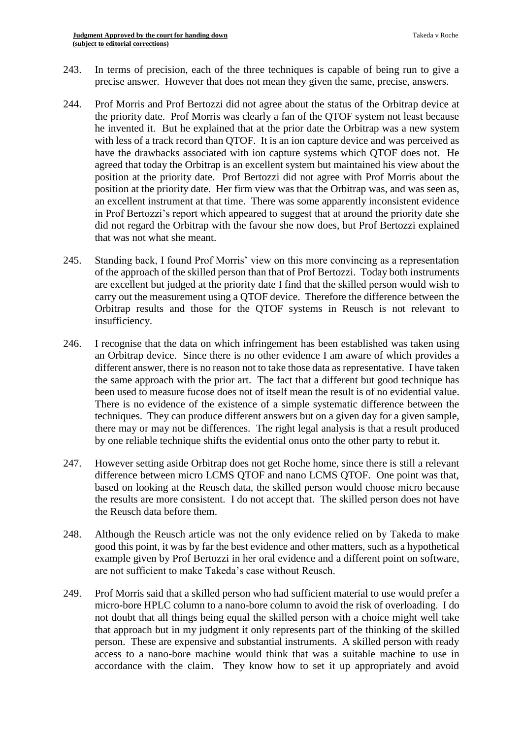- 243. In terms of precision, each of the three techniques is capable of being run to give a precise answer. However that does not mean they given the same, precise, answers.
- 244. Prof Morris and Prof Bertozzi did not agree about the status of the Orbitrap device at the priority date. Prof Morris was clearly a fan of the QTOF system not least because he invented it. But he explained that at the prior date the Orbitrap was a new system with less of a track record than QTOF. It is an ion capture device and was perceived as have the drawbacks associated with ion capture systems which QTOF does not. He agreed that today the Orbitrap is an excellent system but maintained his view about the position at the priority date. Prof Bertozzi did not agree with Prof Morris about the position at the priority date. Her firm view was that the Orbitrap was, and was seen as, an excellent instrument at that time. There was some apparently inconsistent evidence in Prof Bertozzi's report which appeared to suggest that at around the priority date she did not regard the Orbitrap with the favour she now does, but Prof Bertozzi explained that was not what she meant.
- 245. Standing back, I found Prof Morris' view on this more convincing as a representation of the approach of the skilled person than that of Prof Bertozzi. Today both instruments are excellent but judged at the priority date I find that the skilled person would wish to carry out the measurement using a QTOF device. Therefore the difference between the Orbitrap results and those for the QTOF systems in Reusch is not relevant to insufficiency.
- 246. I recognise that the data on which infringement has been established was taken using an Orbitrap device. Since there is no other evidence I am aware of which provides a different answer, there is no reason not to take those data as representative. I have taken the same approach with the prior art. The fact that a different but good technique has been used to measure fucose does not of itself mean the result is of no evidential value. There is no evidence of the existence of a simple systematic difference between the techniques. They can produce different answers but on a given day for a given sample, there may or may not be differences. The right legal analysis is that a result produced by one reliable technique shifts the evidential onus onto the other party to rebut it.
- 247. However setting aside Orbitrap does not get Roche home, since there is still a relevant difference between micro LCMS QTOF and nano LCMS QTOF. One point was that, based on looking at the Reusch data, the skilled person would choose micro because the results are more consistent. I do not accept that. The skilled person does not have the Reusch data before them.
- 248. Although the Reusch article was not the only evidence relied on by Takeda to make good this point, it was by far the best evidence and other matters, such as a hypothetical example given by Prof Bertozzi in her oral evidence and a different point on software, are not sufficient to make Takeda's case without Reusch.
- 249. Prof Morris said that a skilled person who had sufficient material to use would prefer a micro-bore HPLC column to a nano-bore column to avoid the risk of overloading. I do not doubt that all things being equal the skilled person with a choice might well take that approach but in my judgment it only represents part of the thinking of the skilled person. These are expensive and substantial instruments. A skilled person with ready access to a nano-bore machine would think that was a suitable machine to use in accordance with the claim. They know how to set it up appropriately and avoid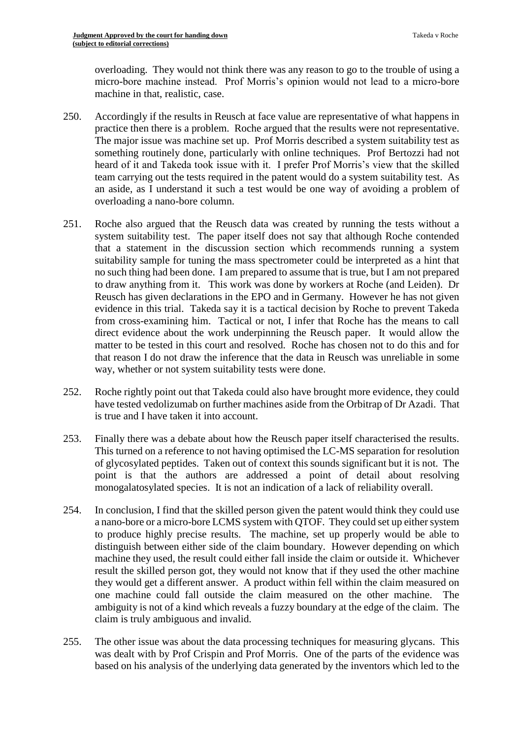overloading. They would not think there was any reason to go to the trouble of using a micro-bore machine instead. Prof Morris's opinion would not lead to a micro-bore machine in that, realistic, case.

- 250. Accordingly if the results in Reusch at face value are representative of what happens in practice then there is a problem. Roche argued that the results were not representative. The major issue was machine set up. Prof Morris described a system suitability test as something routinely done, particularly with online techniques. Prof Bertozzi had not heard of it and Takeda took issue with it. I prefer Prof Morris's view that the skilled team carrying out the tests required in the patent would do a system suitability test. As an aside, as I understand it such a test would be one way of avoiding a problem of overloading a nano-bore column.
- 251. Roche also argued that the Reusch data was created by running the tests without a system suitability test. The paper itself does not say that although Roche contended that a statement in the discussion section which recommends running a system suitability sample for tuning the mass spectrometer could be interpreted as a hint that no such thing had been done. I am prepared to assume that is true, but I am not prepared to draw anything from it. This work was done by workers at Roche (and Leiden). Dr Reusch has given declarations in the EPO and in Germany. However he has not given evidence in this trial. Takeda say it is a tactical decision by Roche to prevent Takeda from cross-examining him. Tactical or not, I infer that Roche has the means to call direct evidence about the work underpinning the Reusch paper. It would allow the matter to be tested in this court and resolved. Roche has chosen not to do this and for that reason I do not draw the inference that the data in Reusch was unreliable in some way, whether or not system suitability tests were done.
- 252. Roche rightly point out that Takeda could also have brought more evidence, they could have tested vedolizumab on further machines aside from the Orbitrap of Dr Azadi. That is true and I have taken it into account.
- 253. Finally there was a debate about how the Reusch paper itself characterised the results. This turned on a reference to not having optimised the LC-MS separation for resolution of glycosylated peptides. Taken out of context this sounds significant but it is not. The point is that the authors are addressed a point of detail about resolving monogalatosylated species. It is not an indication of a lack of reliability overall.
- 254. In conclusion, I find that the skilled person given the patent would think they could use a nano-bore or a micro-bore LCMS system with QTOF. They could set up either system to produce highly precise results. The machine, set up properly would be able to distinguish between either side of the claim boundary. However depending on which machine they used, the result could either fall inside the claim or outside it. Whichever result the skilled person got, they would not know that if they used the other machine they would get a different answer. A product within fell within the claim measured on one machine could fall outside the claim measured on the other machine. The ambiguity is not of a kind which reveals a fuzzy boundary at the edge of the claim. The claim is truly ambiguous and invalid.
- 255. The other issue was about the data processing techniques for measuring glycans. This was dealt with by Prof Crispin and Prof Morris. One of the parts of the evidence was based on his analysis of the underlying data generated by the inventors which led to the